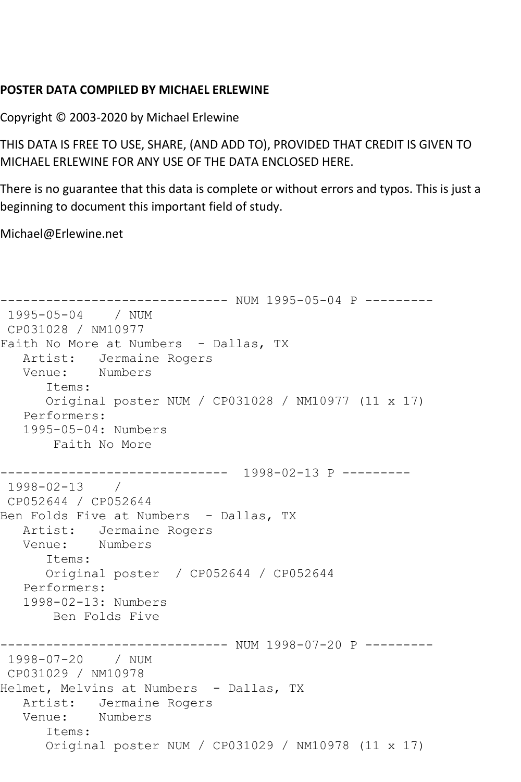## **POSTER DATA COMPILED BY MICHAEL ERLEWINE**

Copyright © 2003-2020 by Michael Erlewine

THIS DATA IS FREE TO USE, SHARE, (AND ADD TO), PROVIDED THAT CREDIT IS GIVEN TO MICHAEL ERLEWINE FOR ANY USE OF THE DATA ENCLOSED HERE.

There is no guarantee that this data is complete or without errors and typos. This is just a beginning to document this important field of study.

Michael@Erlewine.net

```
------------------------------ NUM 1995-05-04 P ---------
1995-05-04 / NUM 
CP031028 / NM10977
Faith No More at Numbers - Dallas, TX
  Artist: Jermaine Rogers<br>Venue: Numbers
  Venue:
       Items:
       Original poster NUM / CP031028 / NM10977 (11 x 17)
   Performers:
   1995-05-04: Numbers
        Faith No More
       ------------------------------ 1998-02-13 P ---------
1998-02-13 / 
CP052644 / CP052644
Ben Folds Five at Numbers - Dallas, TX
   Artist: Jermaine Rogers
   Venue: Numbers
       Items:
       Original poster / CP052644 / CP052644
   Performers:
   1998-02-13: Numbers
       Ben Folds Five
------------------------------ NUM 1998-07-20 P ---------
1998-07-20 / NUM 
CP031029 / NM10978
Helmet, Melvins at Numbers - Dallas, TX
  Artist: Jermaine Rogers<br>Venue: Numbers
  Venue:
       Items:
       Original poster NUM / CP031029 / NM10978 (11 x 17)
```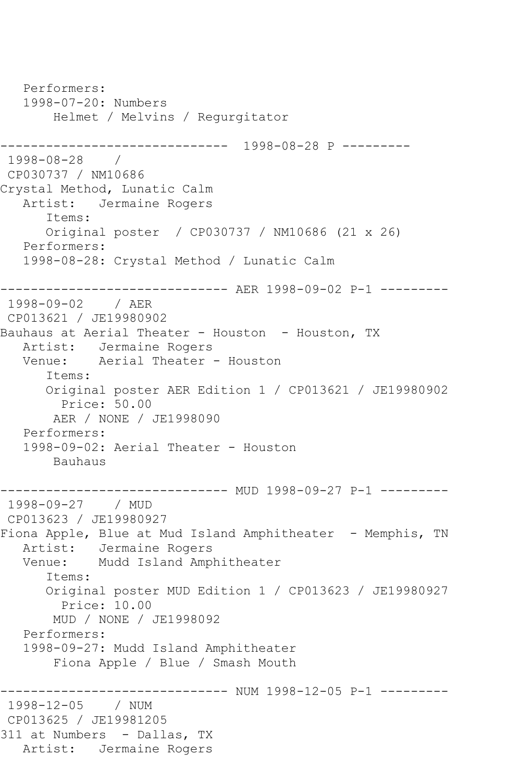```
 Performers:
    1998-07-20: Numbers
        Helmet / Melvins / Regurgitator
------------------------------ 1998-08-28 P ---------
1998-08-28 / 
CP030737 / NM10686
Crystal Method, Lunatic Calm
   Artist: Jermaine Rogers
       Items:
       Original poster / CP030737 / NM10686 (21 x 26)
    Performers:
    1998-08-28: Crystal Method / Lunatic Calm
      ------------------------------ AER 1998-09-02 P-1 ---------
1998-09-02 / AER 
CP013621 / JE19980902
Bauhaus at Aerial Theater - Houston - Houston, TX
   Artist: Jermaine Rogers
   Venue: Aerial Theater - Houston
       Items:
       Original poster AER Edition 1 / CP013621 / JE19980902
        Price: 50.00
        AER / NONE / JE1998090
    Performers:
    1998-09-02: Aerial Theater - Houston
        Bauhaus
                      --------- MUD 1998-09-27 P-1 ---------
1998-09-27 / MUD 
CP013623 / JE19980927
Fiona Apple, Blue at Mud Island Amphitheater - Memphis, TN
  Artist: Jermaine Rogers<br>Venue: Mudd Island Amp
            Mudd Island Amphitheater
       Items:
       Original poster MUD Edition 1 / CP013623 / JE19980927
         Price: 10.00
        MUD / NONE / JE1998092
    Performers:
    1998-09-27: Mudd Island Amphitheater
        Fiona Apple / Blue / Smash Mouth
  ------------------------------ NUM 1998-12-05 P-1 ---------
1998-12-05
CP013625 / JE19981205
311 at Numbers - Dallas, TX
   Artist: Jermaine Rogers
```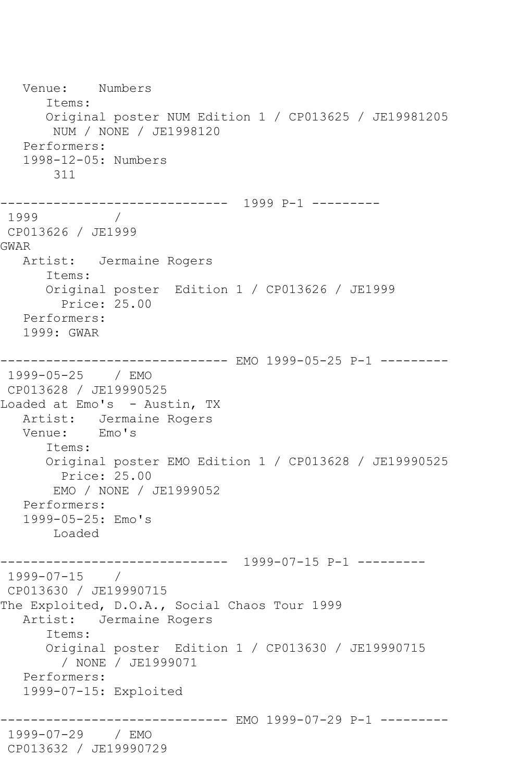Venue: Numbers Items: Original poster NUM Edition 1 / CP013625 / JE19981205 NUM / NONE / JE1998120 Performers: 1998-12-05: Numbers 311 ------------------------------ 1999 P-1 --------- 1999 CP013626 / JE1999 GWAR Artist: Jermaine Rogers Items: Original poster Edition 1 / CP013626 / JE1999 Price: 25.00 Performers: 1999: GWAR ------------------------------ EMO 1999-05-25 P-1 --------- 1999-05-25 / EMO CP013628 / JE19990525 Loaded at Emo's - Austin, TX Artist: Jermaine Rogers Venue: Emo's Items: Original poster EMO Edition 1 / CP013628 / JE19990525 Price: 25.00 EMO / NONE / JE1999052 Performers: 1999-05-25: Emo's Loaded ------------------------------ 1999-07-15 P-1 --------- 1999-07-15 / CP013630 / JE19990715 The Exploited, D.O.A., Social Chaos Tour 1999 Artist: Jermaine Rogers Items: Original poster Edition 1 / CP013630 / JE19990715 / NONE / JE1999071 Performers: 1999-07-15: Exploited ------------------------------ EMO 1999-07-29 P-1 --------- 1999-07-29 / EMO CP013632 / JE19990729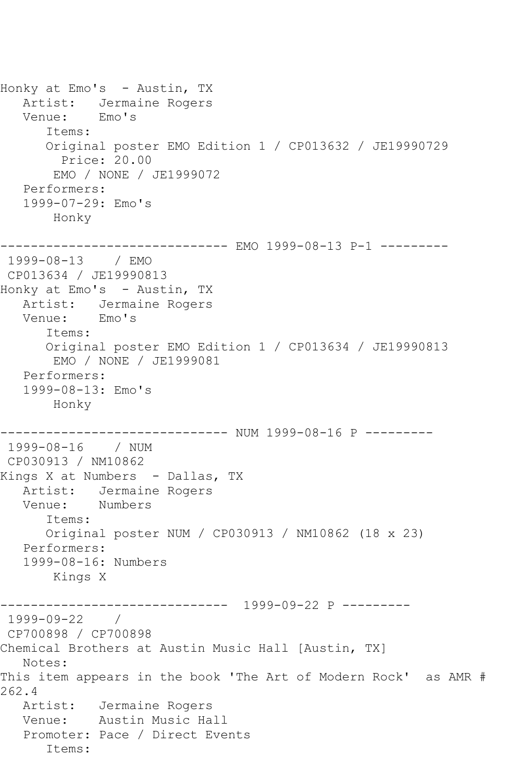Honky at Emo's - Austin, TX Artist: Jermaine Rogers Venue: Emo's Items: Original poster EMO Edition 1 / CP013632 / JE19990729 Price: 20.00 EMO / NONE / JE1999072 Performers: 1999-07-29: Emo's Honky ------------------------------ EMO 1999-08-13 P-1 --------- 1999-08-13 / EMO CP013634 / JE19990813 Honky at Emo's - Austin, TX Artist: Jermaine Rogers Venue: Emo's Items: Original poster EMO Edition 1 / CP013634 / JE19990813 EMO / NONE / JE1999081 Performers: 1999-08-13: Emo's Honky ------------------------------ NUM 1999-08-16 P --------- 1999-08-16 / NUM CP030913 / NM10862 Kings X at Numbers - Dallas, TX Artist: Jermaine Rogers Venue: Numbers Items: Original poster NUM / CP030913 / NM10862 (18 x 23) Performers: 1999-08-16: Numbers Kings X ------------------------------ 1999-09-22 P --------- 1999-09-22 / CP700898 / CP700898 Chemical Brothers at Austin Music Hall [Austin, TX] Notes: This item appears in the book 'The Art of Modern Rock' as AMR # 262.4 Artist: Jermaine Rogers Venue: Austin Music Hall Promoter: Pace / Direct Events Items: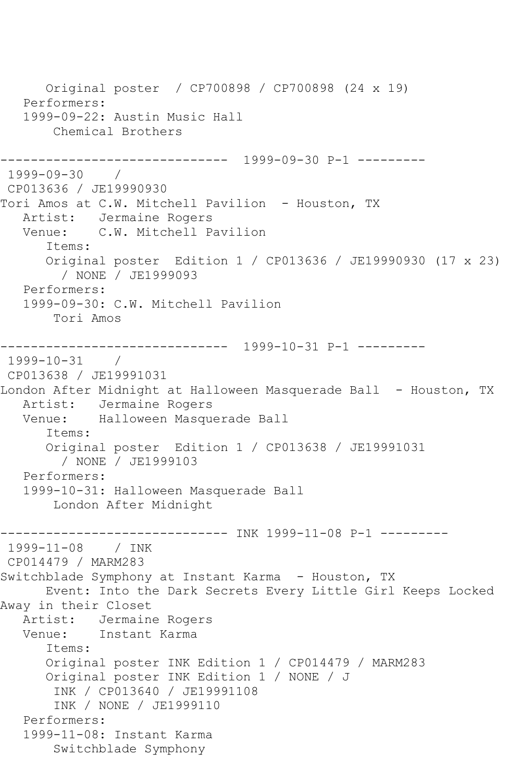Original poster / CP700898 / CP700898 (24 x 19) Performers: 1999-09-22: Austin Music Hall Chemical Brothers ------------------------------ 1999-09-30 P-1 --------- 1999-09-30 / CP013636 / JE19990930 Tori Amos at C.W. Mitchell Pavilion - Houston, TX Artist: Jermaine Rogers Venue: C.W. Mitchell Pavilion Items: Original poster Edition 1 / CP013636 / JE19990930 (17 x 23) / NONE / JE1999093 Performers: 1999-09-30: C.W. Mitchell Pavilion Tori Amos ------------------------------ 1999-10-31 P-1 --------- 1999-10-31 / CP013638 / JE19991031 London After Midnight at Halloween Masquerade Ball - Houston, TX Artist: Jermaine Rogers<br>Venue: Halloween Masque Halloween Masquerade Ball Items: Original poster Edition 1 / CP013638 / JE19991031 / NONE / JE1999103 Performers: 1999-10-31: Halloween Masquerade Ball London After Midnight ------------------------------ INK 1999-11-08 P-1 --------- 1999-11-08 / INK CP014479 / MARM283 Switchblade Symphony at Instant Karma - Houston, TX Event: Into the Dark Secrets Every Little Girl Keeps Locked Away in their Closet Artist: Jermaine Rogers Venue: Instant Karma Items: Original poster INK Edition 1 / CP014479 / MARM283 Original poster INK Edition 1 / NONE / J INK / CP013640 / JE19991108 INK / NONE / JE1999110 Performers: 1999-11-08: Instant Karma Switchblade Symphony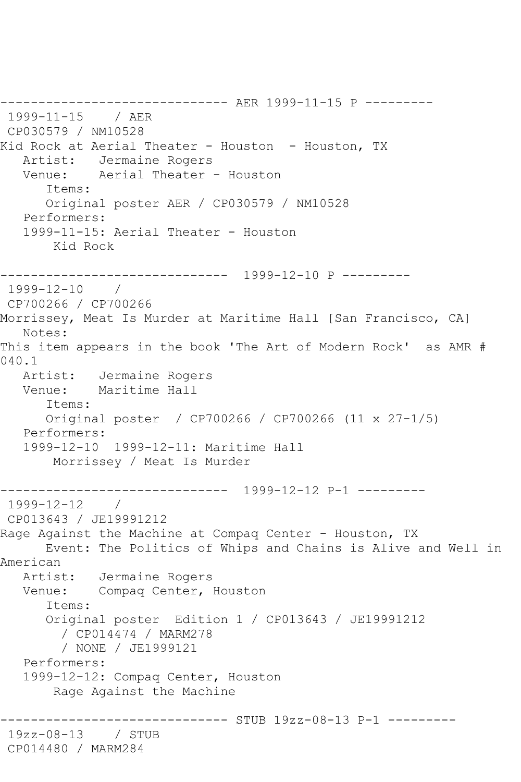------------------------------ AER 1999-11-15 P --------- 1999-11-15 / AER CP030579 / NM10528 Kid Rock at Aerial Theater - Houston - Houston, TX Artist: Jermaine Rogers<br>Venue: Aerial Theater Aerial Theater - Houston Items: Original poster AER / CP030579 / NM10528 Performers: 1999-11-15: Aerial Theater - Houston Kid Rock ------------------------------ 1999-12-10 P --------- 1999-12-10 / CP700266 / CP700266 Morrissey, Meat Is Murder at Maritime Hall [San Francisco, CA] Notes: This item appears in the book 'The Art of Modern Rock' as AMR # 040.1 Artist: Jermaine Rogers Venue: Maritime Hall Items: Original poster / CP700266 / CP700266 (11 x 27-1/5) Performers: 1999-12-10 1999-12-11: Maritime Hall Morrissey / Meat Is Murder ------------------------------ 1999-12-12 P-1 --------- 1999-12-12 / CP013643 / JE19991212 Rage Against the Machine at Compaq Center - Houston, TX Event: The Politics of Whips and Chains is Alive and Well in American Artist: Jermaine Rogers Venue: Compaq Center, Houston Items: Original poster Edition 1 / CP013643 / JE19991212 / CP014474 / MARM278 / NONE / JE1999121 Performers: 1999-12-12: Compaq Center, Houston Rage Against the Machine ------------------------------ STUB 19zz-08-13 P-1 --------- 19zz-08-13 / STUB CP014480 / MARM284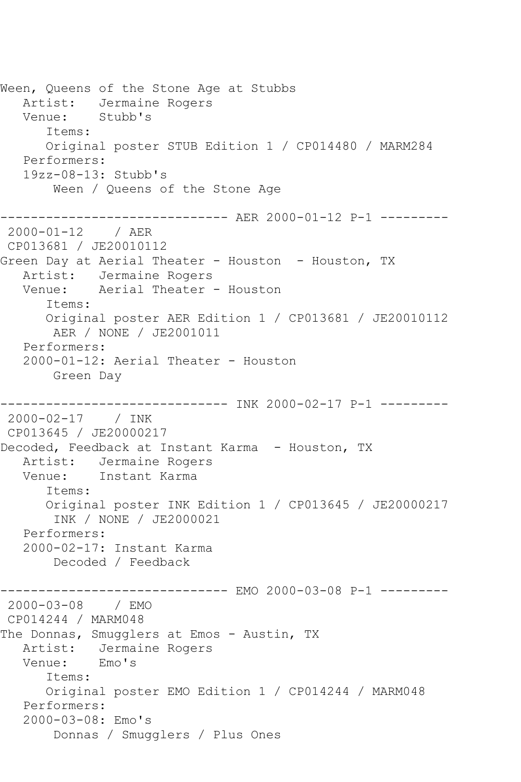Ween, Queens of the Stone Age at Stubbs Artist: Jermaine Rogers<br>Venue: Stubb's Venue: Items: Original poster STUB Edition 1 / CP014480 / MARM284 Performers: 19zz-08-13: Stubb's Ween / Queens of the Stone Age ------------------------------ AER 2000-01-12 P-1 --------- 2000-01-12 / AER CP013681 / JE20010112 Green Day at Aerial Theater - Houston - Houston, TX Artist: Jermaine Rogers Venue: Aerial Theater - Houston Items: Original poster AER Edition 1 / CP013681 / JE20010112 AER / NONE / JE2001011 Performers: 2000-01-12: Aerial Theater - Houston Green Day --------------- INK 2000-02-17 P-1 ---------2000-02-17 / INK CP013645 / JE20000217 Decoded, Feedback at Instant Karma - Houston, TX Artist: Jermaine Rogers Venue: Instant Karma Items: Original poster INK Edition 1 / CP013645 / JE20000217 INK / NONE / JE2000021 Performers: 2000-02-17: Instant Karma Decoded / Feedback ------------------------------ EMO 2000-03-08 P-1 --------- 2000-03-08 / EMO CP014244 / MARM048 The Donnas, Smugglers at Emos - Austin, TX<br>Artist: Jermaine Rogers Jermaine Rogers Venue: Emo's Items: Original poster EMO Edition 1 / CP014244 / MARM048 Performers: 2000-03-08: Emo's Donnas / Smugglers / Plus Ones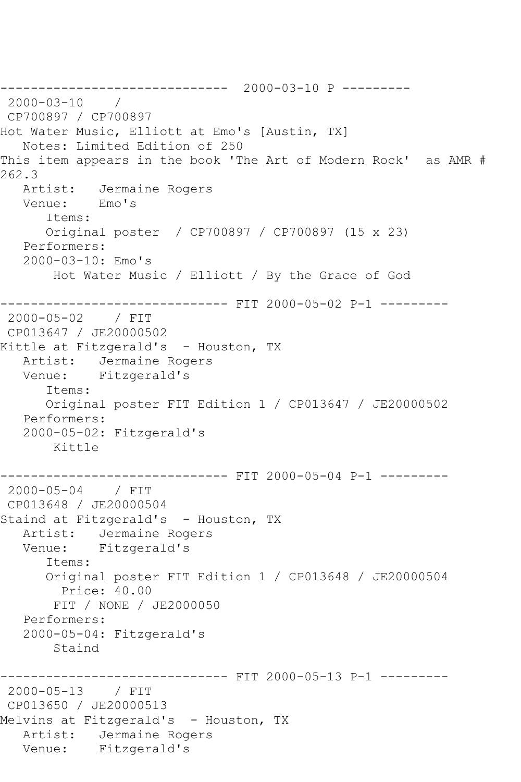------------------------------ 2000-03-10 P --------- 2000-03-10 / CP700897 / CP700897 Hot Water Music, Elliott at Emo's [Austin, TX] Notes: Limited Edition of 250 This item appears in the book 'The Art of Modern Rock' as AMR # 262.3<br>Artist: Jermaine Rogers Venue: Emo's Items: Original poster / CP700897 / CP700897 (15 x 23) Performers: 2000-03-10: Emo's Hot Water Music / Elliott / By the Grace of God ------------------------------ FIT 2000-05-02 P-1 --------- 2000-05-02 / FIT CP013647 / JE20000502 Kittle at Fitzgerald's - Houston, TX Artist: Jermaine Rogers Venue: Fitzgerald's Items: Original poster FIT Edition 1 / CP013647 / JE20000502 Performers: 2000-05-02: Fitzgerald's Kittle ------------------------------ FIT 2000-05-04 P-1 --------- 2000-05-04 / FIT CP013648 / JE20000504 Staind at Fitzgerald's - Houston, TX Artist: Jermaine Rogers Venue: Fitzgerald's Items: Original poster FIT Edition 1 / CP013648 / JE20000504 Price: 40.00 FIT / NONE / JE2000050 Performers: 2000-05-04: Fitzgerald's Staind ------------------------------ FIT 2000-05-13 P-1 --------- 2000-05-13 / FIT CP013650 / JE20000513 Melvins at Fitzgerald's - Houston, TX Artist: Jermaine Rogers Venue: Fitzgerald's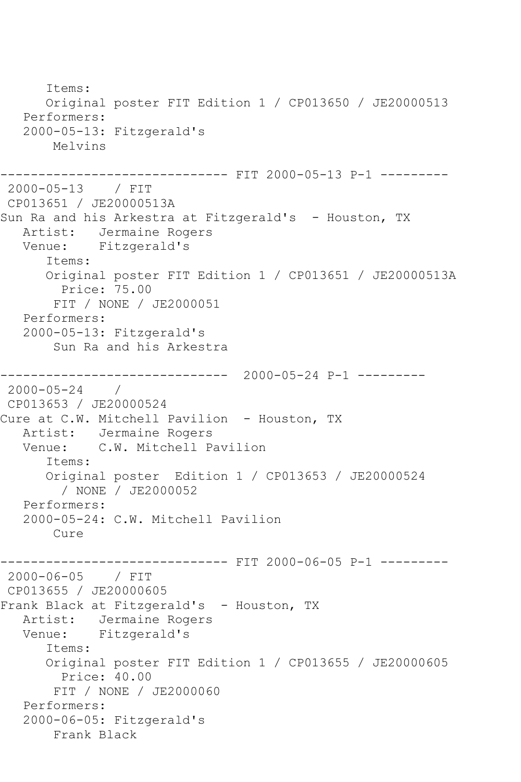Items: Original poster FIT Edition 1 / CP013650 / JE20000513 Performers: 2000-05-13: Fitzgerald's Melvins ------------------------------ FIT 2000-05-13 P-1 --------- 2000-05-13 / FIT CP013651 / JE20000513A Sun Ra and his Arkestra at Fitzgerald's - Houston, TX Artist: Jermaine Rogers Venue: Fitzgerald's Items: Original poster FIT Edition 1 / CP013651 / JE20000513A Price: 75.00 FIT / NONE / JE2000051 Performers: 2000-05-13: Fitzgerald's Sun Ra and his Arkestra ------------------------------ 2000-05-24 P-1 --------- 2000-05-24 / CP013653 / JE20000524 Cure at C.W. Mitchell Pavilion - Houston, TX Artist: Jermaine Rogers Venue: C.W. Mitchell Pavilion Items: Original poster Edition 1 / CP013653 / JE20000524 / NONE / JE2000052 Performers: 2000-05-24: C.W. Mitchell Pavilion Cure ------------------------------ FIT 2000-06-05 P-1 --------- 2000-06-05 / FIT CP013655 / JE20000605 Frank Black at Fitzgerald's - Houston, TX<br>Artist: Jermaine Rogers Jermaine Rogers Venue: Fitzgerald's Items: Original poster FIT Edition 1 / CP013655 / JE20000605 Price: 40.00 FIT / NONE / JE2000060 Performers: 2000-06-05: Fitzgerald's Frank Black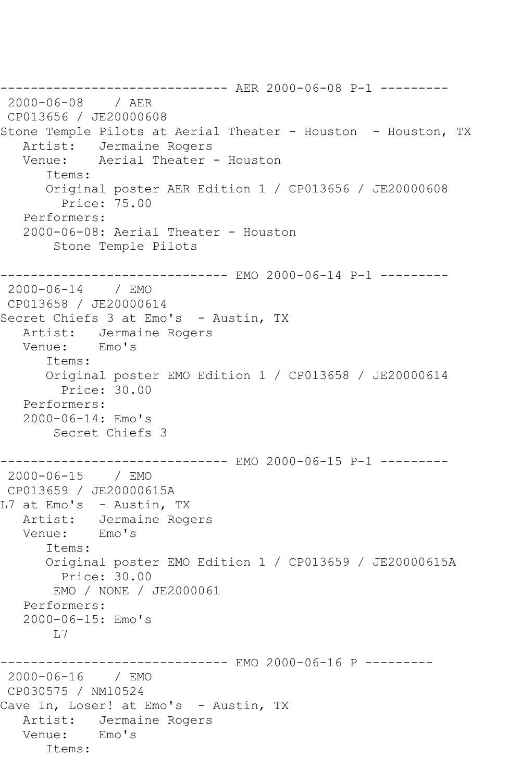------------------------------ AER 2000-06-08 P-1 --------- 2000-06-08 / AER CP013656 / JE20000608 Stone Temple Pilots at Aerial Theater - Houston - Houston, TX Artist: Jermaine Rogers Venue: Aerial Theater - Houston Items: Original poster AER Edition 1 / CP013656 / JE20000608 Price: 75.00 Performers: 2000-06-08: Aerial Theater - Houston Stone Temple Pilots ------------------------------ EMO 2000-06-14 P-1 --------- 2000-06-14 / EMO CP013658 / JE20000614 Secret Chiefs 3 at Emo's - Austin, TX Artist: Jermaine Rogers Venue: Emo's Items: Original poster EMO Edition 1 / CP013658 / JE20000614 Price: 30.00 Performers: 2000-06-14: Emo's Secret Chiefs 3 ------------------------------ EMO 2000-06-15 P-1 --------- 2000-06-15 / EMO CP013659 / JE20000615A L7 at Emo's - Austin, TX Artist: Jermaine Rogers Venue: Emo's Items: Original poster EMO Edition 1 / CP013659 / JE20000615A Price: 30.00 EMO / NONE / JE2000061 Performers: 2000-06-15: Emo's  $L7$ ---------- EMO 2000-06-16 P ---------2000-06-16 / EMO CP030575 / NM10524 Cave In, Loser! at Emo's - Austin, TX Artist: Jermaine Rogers Venue: Emo's Items: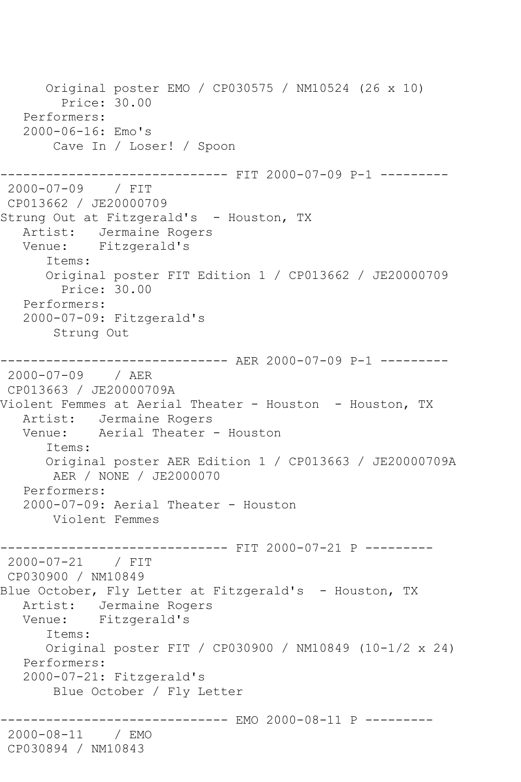Original poster EMO / CP030575 / NM10524 (26 x 10) Price: 30.00 Performers: 2000-06-16: Emo's Cave In / Loser! / Spoon ------------------------------ FIT 2000-07-09 P-1 --------- 2000-07-09 / FIT CP013662 / JE20000709 Strung Out at Fitzgerald's - Houston, TX Artist: Jermaine Rogers Venue: Fitzgerald's Items: Original poster FIT Edition 1 / CP013662 / JE20000709 Price: 30.00 Performers: 2000-07-09: Fitzgerald's Strung Out ------------------------------ AER 2000-07-09 P-1 --------- 2000-07-09 / AER CP013663 / JE20000709A Violent Femmes at Aerial Theater - Houston - Houston, TX Artist: Jermaine Rogers Venue: Aerial Theater - Houston Items: Original poster AER Edition 1 / CP013663 / JE20000709A AER / NONE / JE2000070 Performers: 2000-07-09: Aerial Theater - Houston Violent Femmes ------------------------------ FIT 2000-07-21 P --------- 2000-07-21 / FIT CP030900 / NM10849 Blue October, Fly Letter at Fitzgerald's - Houston, TX Artist: Jermaine Rogers Venue: Fitzgerald's Items: Original poster FIT / CP030900 / NM10849 (10-1/2 x 24) Performers: 2000-07-21: Fitzgerald's Blue October / Fly Letter ----------- EMO 2000-08-11 P ---------2000-08-11 / EMO CP030894 / NM10843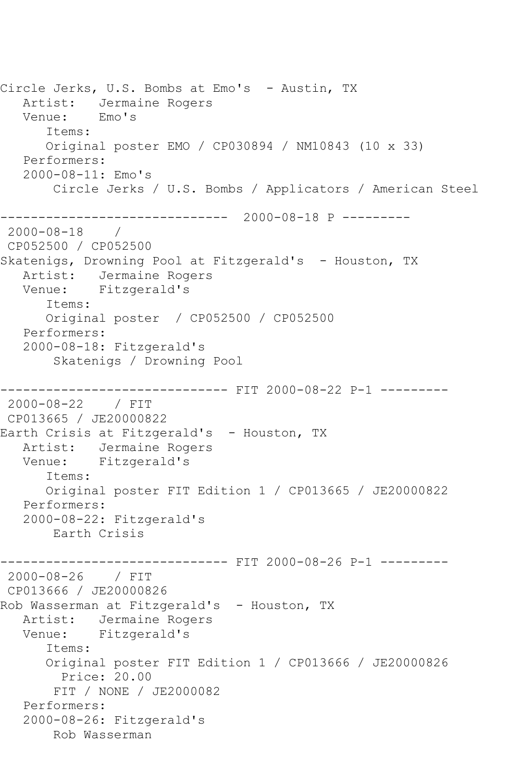Circle Jerks, U.S. Bombs at Emo's - Austin, TX Artist: Jermaine Rogers Venue: Emo's Items: Original poster EMO / CP030894 / NM10843 (10 x 33) Performers: 2000-08-11: Emo's Circle Jerks / U.S. Bombs / Applicators / American Steel ------------------------------ 2000-08-18 P ---------  $2000 - 08 - 18$ CP052500 / CP052500 Skatenigs, Drowning Pool at Fitzgerald's - Houston, TX Artist: Jermaine Rogers Venue: Fitzgerald's Items: Original poster / CP052500 / CP052500 Performers: 2000-08-18: Fitzgerald's Skatenigs / Drowning Pool ------------------------------ FIT 2000-08-22 P-1 --------- 2000-08-22 / FIT CP013665 / JE20000822 Earth Crisis at Fitzgerald's - Houston, TX Artist: Jermaine Rogers Venue: Fitzgerald's Items: Original poster FIT Edition 1 / CP013665 / JE20000822 Performers: 2000-08-22: Fitzgerald's Earth Crisis ------------------------------ FIT 2000-08-26 P-1 --------- 2000-08-26 / FIT CP013666 / JE20000826 Rob Wasserman at Fitzgerald's - Houston, TX Artist: Jermaine Rogers Venue: Fitzgerald's Items: Original poster FIT Edition 1 / CP013666 / JE20000826 Price: 20.00 FIT / NONE / JE2000082 Performers: 2000-08-26: Fitzgerald's Rob Wasserman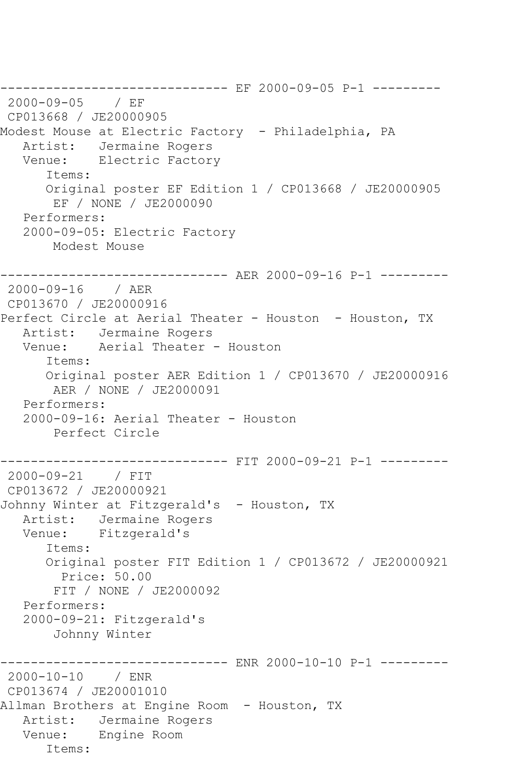------------------------------ EF 2000-09-05 P-1 --------- 2000-09-05 / EF CP013668 / JE20000905 Modest Mouse at Electric Factory - Philadelphia, PA Artist: Jermaine Rogers Venue: Electric Factory Items: Original poster EF Edition 1 / CP013668 / JE20000905 EF / NONE / JE2000090 Performers: 2000-09-05: Electric Factory Modest Mouse ------------------------------ AER 2000-09-16 P-1 --------- 2000-09-16 / AER CP013670 / JE20000916 Perfect Circle at Aerial Theater - Houston - Houston, TX Artist: Jermaine Rogers Venue: Aerial Theater - Houston Items: Original poster AER Edition 1 / CP013670 / JE20000916 AER / NONE / JE2000091 Performers: 2000-09-16: Aerial Theater - Houston Perfect Circle ------------------------------ FIT 2000-09-21 P-1 --------- 2000-09-21 / FIT CP013672 / JE20000921 Johnny Winter at Fitzgerald's - Houston, TX Artist: Jermaine Rogers Venue: Fitzgerald's Items: Original poster FIT Edition 1 / CP013672 / JE20000921 Price: 50.00 FIT / NONE / JE2000092 Performers: 2000-09-21: Fitzgerald's Johnny Winter ------------------------------ ENR 2000-10-10 P-1 --------- 2000-10-10 / ENR CP013674 / JE20001010 Allman Brothers at Engine Room - Houston, TX Artist: Jermaine Rogers Venue: Engine Room Items: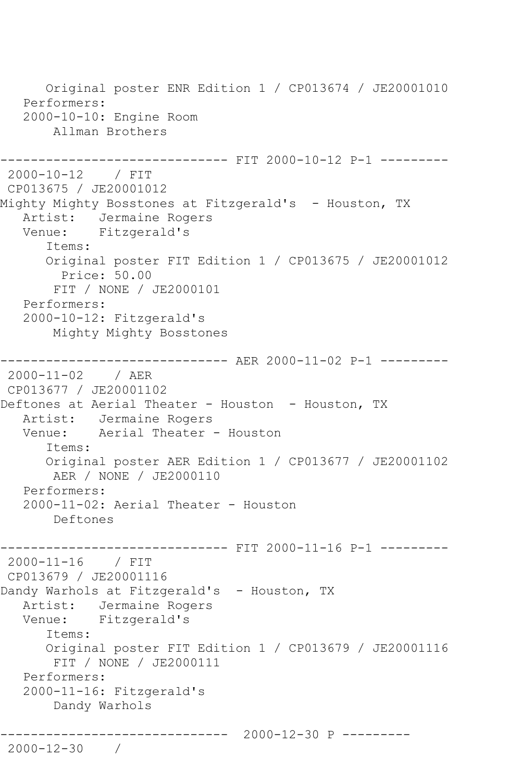Original poster ENR Edition 1 / CP013674 / JE20001010 Performers: 2000-10-10: Engine Room Allman Brothers ------------ FIT 2000-10-12 P-1 ---------2000-10-12 / FIT CP013675 / JE20001012 Mighty Mighty Bosstones at Fitzgerald's - Houston, TX Artist: Jermaine Rogers Venue: Fitzgerald's Items: Original poster FIT Edition 1 / CP013675 / JE20001012 Price: 50.00 FIT / NONE / JE2000101 Performers: 2000-10-12: Fitzgerald's Mighty Mighty Bosstones ------------------------------ AER 2000-11-02 P-1 --------- 2000-11-02 / AER CP013677 / JE20001102 Deftones at Aerial Theater - Houston - Houston, TX Artist: Jermaine Rogers Venue: Aerial Theater - Houston Items: Original poster AER Edition 1 / CP013677 / JE20001102 AER / NONE / JE2000110 Performers: 2000-11-02: Aerial Theater - Houston Deftones ------------------------------ FIT 2000-11-16 P-1 --------- 2000-11-16 / FIT CP013679 / JE20001116 Dandy Warhols at Fitzgerald's - Houston, TX Artist: Jermaine Rogers Venue: Fitzgerald's Items: Original poster FIT Edition 1 / CP013679 / JE20001116 FIT / NONE / JE2000111 Performers: 2000-11-16: Fitzgerald's Dandy Warhols ------------------------------ 2000-12-30 P --------- 2000-12-30 /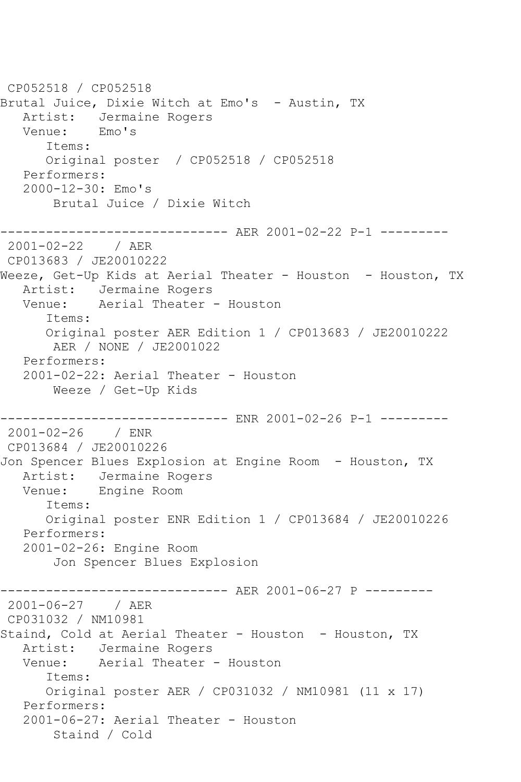CP052518 / CP052518 Brutal Juice, Dixie Witch at Emo's - Austin, TX Artist: Jermaine Rogers<br>Venue: Emo's Venue: Items: Original poster / CP052518 / CP052518 Performers: 2000-12-30: Emo's Brutal Juice / Dixie Witch ------------------------------ AER 2001-02-22 P-1 --------- 2001-02-22 / AER CP013683 / JE20010222 Weeze, Get-Up Kids at Aerial Theater - Houston - Houston, TX Artist: Jermaine Rogers Venue: Aerial Theater - Houston Items: Original poster AER Edition 1 / CP013683 / JE20010222 AER / NONE / JE2001022 Performers: 2001-02-22: Aerial Theater - Houston Weeze / Get-Up Kids ------------------------------ ENR 2001-02-26 P-1 --------- 2001-02-26 / ENR CP013684 / JE20010226 Jon Spencer Blues Explosion at Engine Room - Houston, TX Artist: Jermaine Rogers Venue: Engine Room Items: Original poster ENR Edition 1 / CP013684 / JE20010226 Performers: 2001-02-26: Engine Room Jon Spencer Blues Explosion ------------------------------ AER 2001-06-27 P --------- 2001-06-27 / AER CP031032 / NM10981 Staind, Cold at Aerial Theater - Houston - Houston, TX Artist: Jermaine Rogers Venue: Aerial Theater - Houston Items: Original poster AER / CP031032 / NM10981 (11 x 17) Performers: 2001-06-27: Aerial Theater - Houston Staind / Cold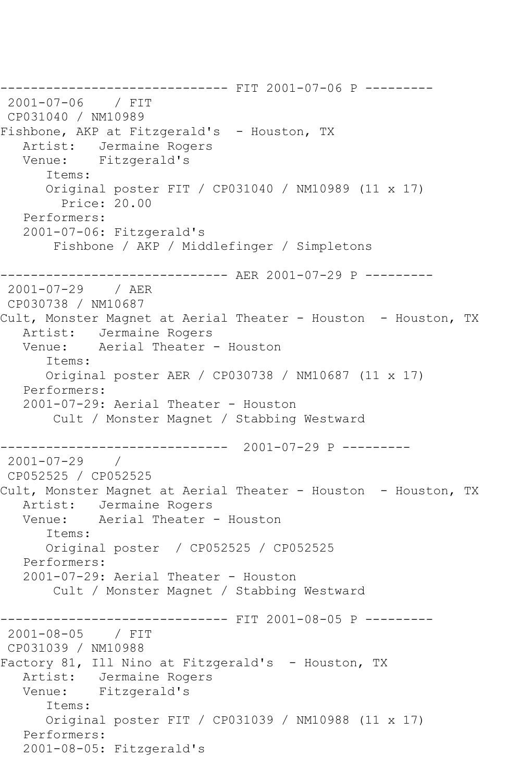------------------------------ FIT 2001-07-06 P --------- 2001-07-06 / FIT CP031040 / NM10989 Fishbone, AKP at Fitzgerald's - Houston, TX Artist: Jermaine Rogers Venue: Fitzgerald's Items: Original poster FIT / CP031040 / NM10989 (11 x 17) Price: 20.00 Performers: 2001-07-06: Fitzgerald's Fishbone / AKP / Middlefinger / Simpletons ------------------------------ AER 2001-07-29 P --------- 2001-07-29 / AER CP030738 / NM10687 Cult, Monster Magnet at Aerial Theater - Houston - Houston, TX Artist: Jermaine Rogers Venue: Aerial Theater - Houston Items: Original poster AER / CP030738 / NM10687 (11 x 17) Performers: 2001-07-29: Aerial Theater - Houston Cult / Monster Magnet / Stabbing Westward ------------------------------ 2001-07-29 P ---------  $2001 - 07 - 29$ CP052525 / CP052525 Cult, Monster Magnet at Aerial Theater - Houston - Houston, TX Artist: Jermaine Rogers<br>Venue: Aerial Theater Aerial Theater - Houston Items: Original poster / CP052525 / CP052525 Performers: 2001-07-29: Aerial Theater - Houston Cult / Monster Magnet / Stabbing Westward ----------- FIT 2001-08-05 P ---------2001-08-05 / FIT CP031039 / NM10988 Factory 81, Ill Nino at Fitzgerald's - Houston, TX Artist: Jermaine Rogers Venue: Fitzgerald's Items: Original poster FIT / CP031039 / NM10988 (11 x 17) Performers: 2001-08-05: Fitzgerald's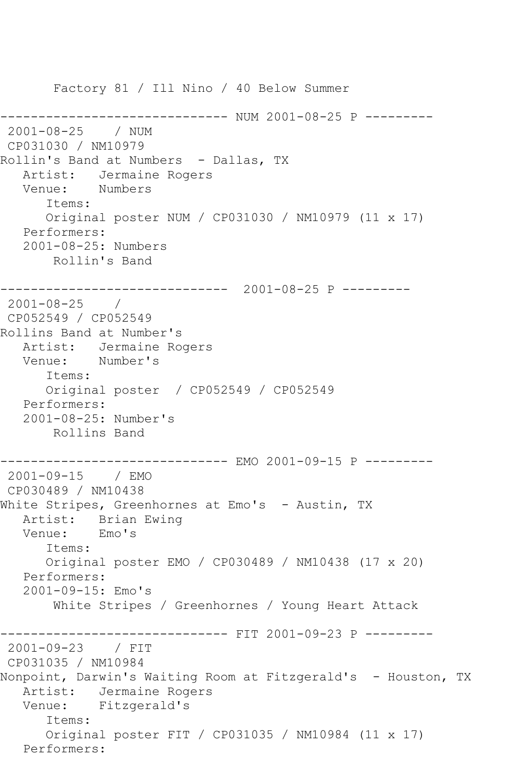Factory 81 / Ill Nino / 40 Below Summer ------------- NUM 2001-08-25 P ---------2001-08-25 / NUM CP031030 / NM10979 Rollin's Band at Numbers - Dallas, TX Artist: Jermaine Rogers Venue: Numbers Items: Original poster NUM / CP031030 / NM10979 (11 x 17) Performers: 2001-08-25: Numbers Rollin's Band ------------------------------ 2001-08-25 P --------- 2001-08-25 / CP052549 / CP052549 Rollins Band at Number's Artist: Jermaine Rogers Venue: Number's Items: Original poster / CP052549 / CP052549 Performers: 2001-08-25: Number's Rollins Band ------------------------------ EMO 2001-09-15 P --------- 2001-09-15 / EMO CP030489 / NM10438 White Stripes, Greenhornes at Emo's - Austin, TX Artist: Brian Ewing Venue: Emo's Items: Original poster EMO / CP030489 / NM10438 (17 x 20) Performers: 2001-09-15: Emo's White Stripes / Greenhornes / Young Heart Attack ------------------------------ FIT 2001-09-23 P --------- 2001-09-23 / FIT CP031035 / NM10984 Nonpoint, Darwin's Waiting Room at Fitzgerald's - Houston, TX Artist: Jermaine Rogers Venue: Fitzgerald's Items: Original poster FIT / CP031035 / NM10984 (11 x 17) Performers: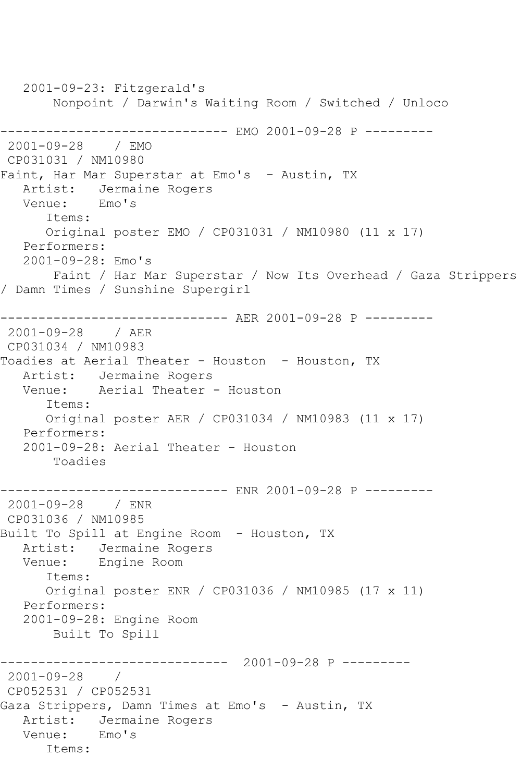2001-09-23: Fitzgerald's Nonpoint / Darwin's Waiting Room / Switched / Unloco ------------------------------ EMO 2001-09-28 P --------- 2001-09-28 / EMO CP031031 / NM10980 Faint, Har Mar Superstar at Emo's - Austin, TX Artist: Jermaine Rogers Venue: Emo's Items: Original poster EMO / CP031031 / NM10980 (11 x 17) Performers: 2001-09-28: Emo's Faint / Har Mar Superstar / Now Its Overhead / Gaza Strippers / Damn Times / Sunshine Supergirl ------------------------------ AER 2001-09-28 P --------- 2001-09-28 / AER CP031034 / NM10983 Toadies at Aerial Theater - Houston - Houston, TX Artist: Jermaine Rogers Venue: Aerial Theater - Houston Items: Original poster AER / CP031034 / NM10983 (11 x 17) Performers: 2001-09-28: Aerial Theater - Houston Toadies ------------------------------ ENR 2001-09-28 P --------- 2001-09-28 / ENR CP031036 / NM10985 Built To Spill at Engine Room - Houston, TX Artist: Jermaine Rogers<br>Venue: Engine Room Engine Room Items: Original poster ENR / CP031036 / NM10985 (17 x 11) Performers: 2001-09-28: Engine Room Built To Spill ------------------------------ 2001-09-28 P --------- 2001-09-28 / CP052531 / CP052531 Gaza Strippers, Damn Times at Emo's - Austin, TX Artist: Jermaine Rogers Venue: Emo's Items: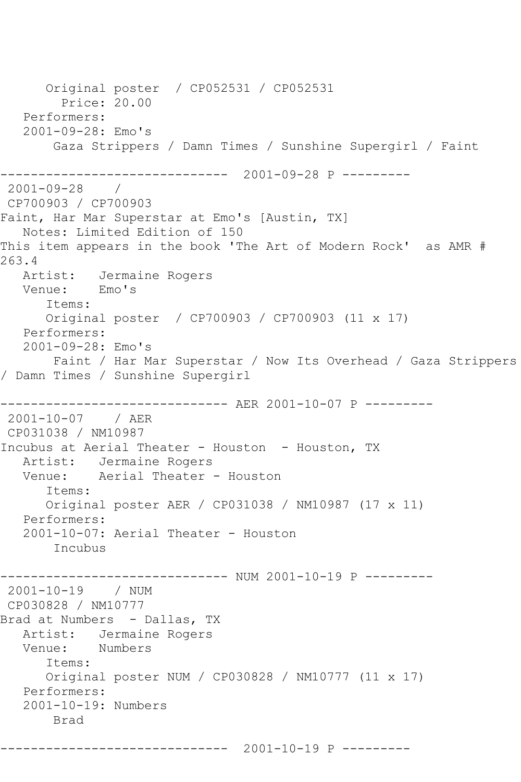Original poster / CP052531 / CP052531 Price: 20.00 Performers: 2001-09-28: Emo's Gaza Strippers / Damn Times / Sunshine Supergirl / Faint ------------------------------ 2001-09-28 P --------- 2001-09-28 / CP700903 / CP700903 Faint, Har Mar Superstar at Emo's [Austin, TX] Notes: Limited Edition of 150 This item appears in the book 'The Art of Modern Rock' as AMR # 263.4 Artist: Jermaine Rogers Venue: Emo's Items: Original poster / CP700903 / CP700903 (11 x 17) Performers: 2001-09-28: Emo's Faint / Har Mar Superstar / Now Its Overhead / Gaza Strippers / Damn Times / Sunshine Supergirl ------------------------------ AER 2001-10-07 P --------- 2001-10-07 / AER CP031038 / NM10987 Incubus at Aerial Theater - Houston - Houston, TX Artist: Jermaine Rogers<br>Venue: Aerial Theater Aerial Theater - Houston Items: Original poster AER / CP031038 / NM10987 (17 x 11) Performers: 2001-10-07: Aerial Theater - Houston Incubus ---------- NUM 2001-10-19 P ---------2001-10-19 / NUM CP030828 / NM10777 Brad at Numbers - Dallas, TX Artist: Jermaine Rogers<br>Venue: Numbers Numbers Items: Original poster NUM / CP030828 / NM10777 (11 x 17) Performers: 2001-10-19: Numbers Brad

------------------------------ 2001-10-19 P ---------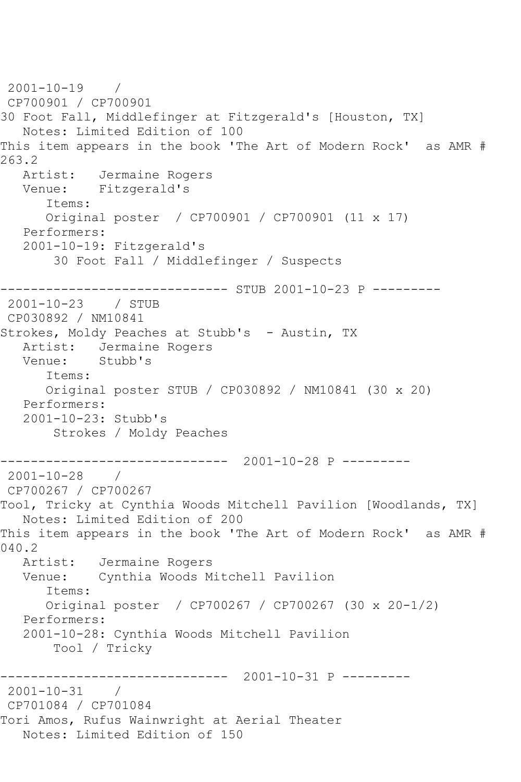2001-10-19 / CP700901 / CP700901 30 Foot Fall, Middlefinger at Fitzgerald's [Houston, TX] Notes: Limited Edition of 100 This item appears in the book 'The Art of Modern Rock' as AMR # 263.2 Artist: Jermaine Rogers Venue: Fitzgerald's Items: Original poster / CP700901 / CP700901 (11 x 17) Performers: 2001-10-19: Fitzgerald's 30 Foot Fall / Middlefinger / Suspects ------------------------------ STUB 2001-10-23 P --------- 2001-10-23 / STUB CP030892 / NM10841 Strokes, Moldy Peaches at Stubb's - Austin, TX Artist: Jermaine Rogers<br>Venue: Stubb's Stubb's Items: Original poster STUB / CP030892 / NM10841 (30 x 20) Performers: 2001-10-23: Stubb's Strokes / Moldy Peaches ------------------------------ 2001-10-28 P --------- 2001-10-28 / CP700267 / CP700267 Tool, Tricky at Cynthia Woods Mitchell Pavilion [Woodlands, TX] Notes: Limited Edition of 200 This item appears in the book 'The Art of Modern Rock' as AMR # 040.2 Artist: Jermaine Rogers Venue: Cynthia Woods Mitchell Pavilion Items: Original poster / CP700267 / CP700267 (30 x 20-1/2) Performers: 2001-10-28: Cynthia Woods Mitchell Pavilion Tool / Tricky ------------------------------ 2001-10-31 P --------- 2001-10-31 / CP701084 / CP701084 Tori Amos, Rufus Wainwright at Aerial Theater Notes: Limited Edition of 150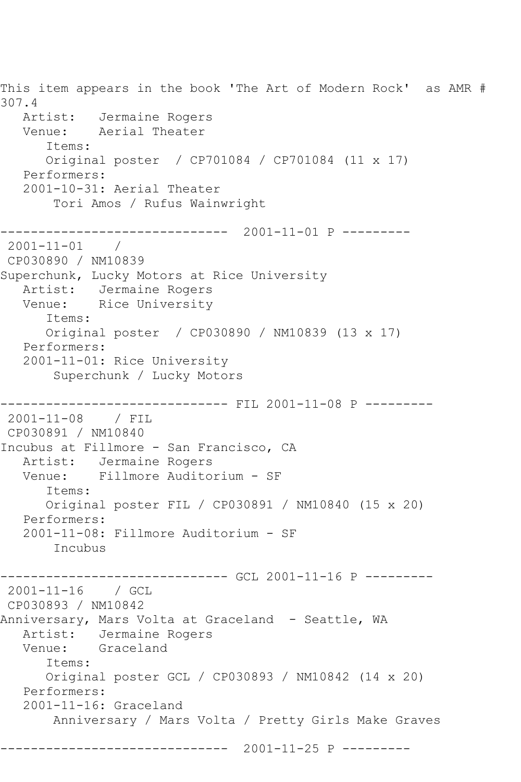This item appears in the book 'The Art of Modern Rock' as AMR # 307.4 Artist: Jermaine Rogers Venue: Aerial Theater Items: Original poster / CP701084 / CP701084 (11 x 17) Performers: 2001-10-31: Aerial Theater Tori Amos / Rufus Wainwright ------------------------------ 2001-11-01 P ---------  $2001 - 11 - 01$  / CP030890 / NM10839 Superchunk, Lucky Motors at Rice University Artist: Jermaine Rogers Venue: Rice University Items: Original poster / CP030890 / NM10839 (13 x 17) Performers: 2001-11-01: Rice University Superchunk / Lucky Motors ------------------------------ FIL 2001-11-08 P --------- 2001-11-08 / FIL CP030891 / NM10840 Incubus at Fillmore - San Francisco, CA Artist: Jermaine Rogers Venue: Fillmore Auditorium - SF Items: Original poster FIL / CP030891 / NM10840 (15 x 20) Performers: 2001-11-08: Fillmore Auditorium - SF Incubus ---------- GCL 2001-11-16 P ---------2001-11-16 / GCL CP030893 / NM10842 Anniversary, Mars Volta at Graceland - Seattle, WA Artist: Jermaine Rogers Venue: Graceland Items: Original poster GCL / CP030893 / NM10842 (14 x 20) Performers: 2001-11-16: Graceland Anniversary / Mars Volta / Pretty Girls Make Graves ------------------------------ 2001-11-25 P ---------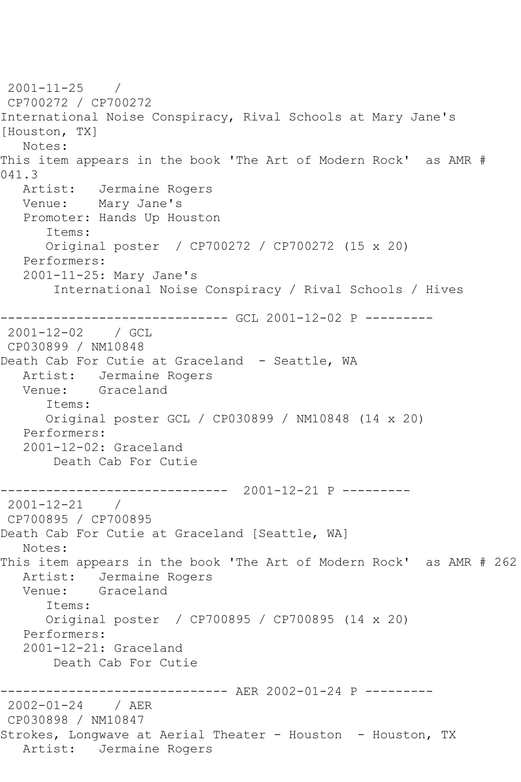2001-11-25 / CP700272 / CP700272 International Noise Conspiracy, Rival Schools at Mary Jane's [Houston, TX] Notes: This item appears in the book 'The Art of Modern Rock' as AMR # 041.3 Artist: Jermaine Rogers Venue: Mary Jane's Promoter: Hands Up Houston Items: Original poster / CP700272 / CP700272 (15 x 20) Performers: 2001-11-25: Mary Jane's International Noise Conspiracy / Rival Schools / Hives ------------------------------ GCL 2001-12-02 P --------- 2001-12-02 / GCL CP030899 / NM10848 Death Cab For Cutie at Graceland - Seattle, WA Artist: Jermaine Rogers Venue: Graceland Items: Original poster GCL / CP030899 / NM10848 (14 x 20) Performers: 2001-12-02: Graceland Death Cab For Cutie ------------------------------ 2001-12-21 P --------- 2001-12-21 / CP700895 / CP700895 Death Cab For Cutie at Graceland [Seattle, WA] Notes: This item appears in the book 'The Art of Modern Rock' as AMR # 262 Artist: Jermaine Rogers<br>Venue: Graceland Graceland Items: Original poster / CP700895 / CP700895 (14 x 20) Performers: 2001-12-21: Graceland Death Cab For Cutie ----------------- AER 2002-01-24 P ----------<br>/ AER  $2002 - 01 - 24$ CP030898 / NM10847 Strokes, Longwave at Aerial Theater - Houston - Houston, TX Artist: Jermaine Rogers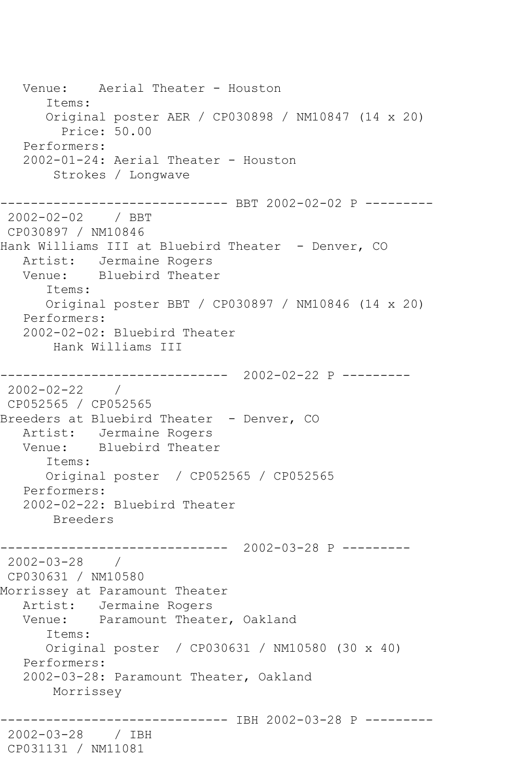Venue: Aerial Theater - Houston Items: Original poster AER / CP030898 / NM10847 (14 x 20) Price: 50.00 Performers: 2002-01-24: Aerial Theater - Houston Strokes / Longwave ----------- BBT 2002-02-02 P ---------2002-02-02 / BBT CP030897 / NM10846 Hank Williams III at Bluebird Theater - Denver, CO Artist: Jermaine Rogers Venue: Bluebird Theater Items: Original poster BBT / CP030897 / NM10846 (14 x 20) Performers: 2002-02-02: Bluebird Theater Hank Williams III ------------------------------ 2002-02-22 P --------- 2002-02-22 / CP052565 / CP052565 Breeders at Bluebird Theater - Denver, CO Artist: Jermaine Rogers Venue: Bluebird Theater Items: Original poster / CP052565 / CP052565 Performers: 2002-02-22: Bluebird Theater Breeders ------------------------------ 2002-03-28 P --------- 2002-03-28 / CP030631 / NM10580 Morrissey at Paramount Theater Artist: Jermaine Rogers Venue: Paramount Theater, Oakland Items: Original poster / CP030631 / NM10580 (30 x 40) Performers: 2002-03-28: Paramount Theater, Oakland Morrissey -------------- IBH 2002-03-28 P ----------2002-03-28 / IBH CP031131 / NM11081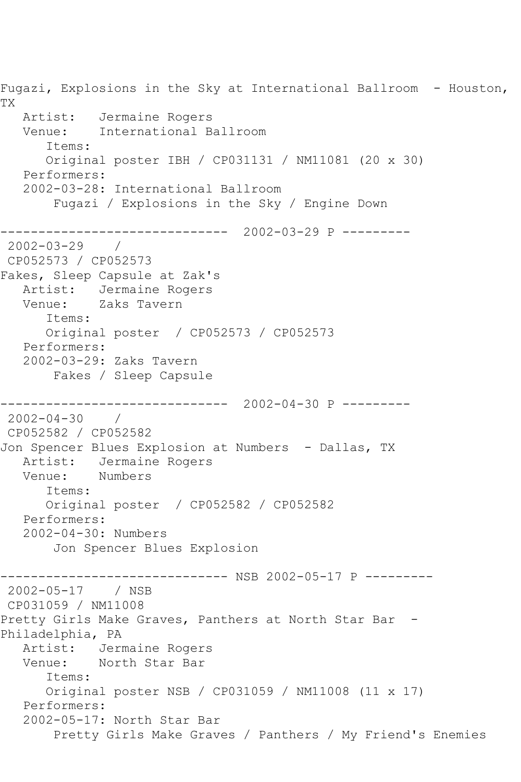Fugazi, Explosions in the Sky at International Ballroom - Houston, TX Artist: Jermaine Rogers Venue: International Ballroom Items: Original poster IBH / CP031131 / NM11081 (20 x 30) Performers: 2002-03-28: International Ballroom Fugazi / Explosions in the Sky / Engine Down ------------------------------ 2002-03-29 P --------- 2002-03-29 / CP052573 / CP052573 Fakes, Sleep Capsule at Zak's Artist: Jermaine Rogers Venue: Zaks Tavern Items: Original poster / CP052573 / CP052573 Performers: 2002-03-29: Zaks Tavern Fakes / Sleep Capsule ------------------------------ 2002-04-30 P ---------  $2002 - 04 - 30$ CP052582 / CP052582 Jon Spencer Blues Explosion at Numbers - Dallas, TX Artist: Jermaine Rogers Venue: Numbers Items: Original poster / CP052582 / CP052582 Performers: 2002-04-30: Numbers Jon Spencer Blues Explosion ----------- NSB 2002-05-17 P ---------2002-05-17 / NSB CP031059 / NM11008 Pretty Girls Make Graves, Panthers at North Star Bar -Philadelphia, PA Artist: Jermaine Rogers Venue: North Star Bar Items: Original poster NSB / CP031059 / NM11008 (11 x 17) Performers: 2002-05-17: North Star Bar Pretty Girls Make Graves / Panthers / My Friend's Enemies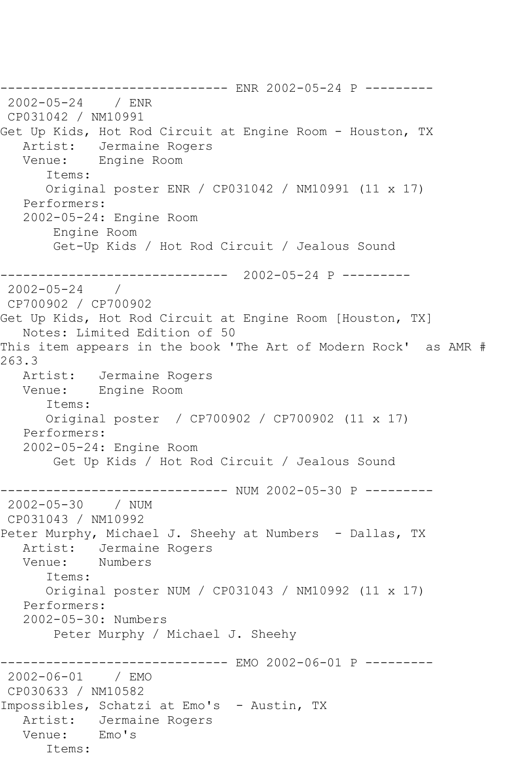------------------------------ ENR 2002-05-24 P --------- 2002-05-24 / ENR CP031042 / NM10991 Get Up Kids, Hot Rod Circuit at Engine Room - Houston, TX Artist: Jermaine Rogers Venue: Engine Room Items: Original poster ENR / CP031042 / NM10991 (11 x 17) Performers: 2002-05-24: Engine Room Engine Room Get-Up Kids / Hot Rod Circuit / Jealous Sound ------------------------------ 2002-05-24 P --------- 2002-05-24 / CP700902 / CP700902 Get Up Kids, Hot Rod Circuit at Engine Room [Houston, TX] Notes: Limited Edition of 50 This item appears in the book 'The Art of Modern Rock' as AMR # 263.3 Artist: Jermaine Rogers Venue: Engine Room Items: Original poster / CP700902 / CP700902 (11 x 17) Performers: 2002-05-24: Engine Room Get Up Kids / Hot Rod Circuit / Jealous Sound ------------ NUM 2002-05-30 P ---------2002-05-30 / NUM CP031043 / NM10992 Peter Murphy, Michael J. Sheehy at Numbers - Dallas, TX Artist: Jermaine Rogers<br>Venue: Numbers Numbers Items: Original poster NUM / CP031043 / NM10992 (11 x 17) Performers: 2002-05-30: Numbers Peter Murphy / Michael J. Sheehy ------------ EMO 2002-06-01 P ---------2002-06-01 / EMO CP030633 / NM10582 Impossibles, Schatzi at Emo's - Austin, TX Artist: Jermaine Rogers Venue: Emo's Items: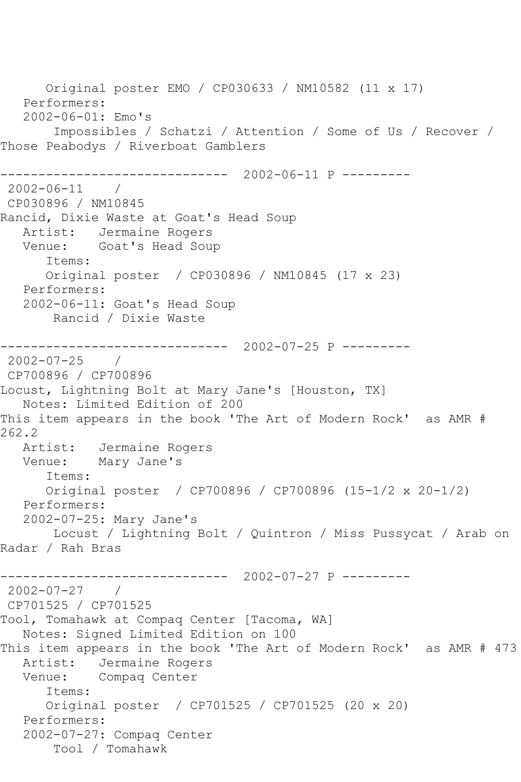Original poster EMO / CP030633 / NM10582 (11 x 17) Performers: 2002-06-01: Emo's Impossibles / Schatzi / Attention / Some of Us / Recover / Those Peabodys / Riverboat Gamblers ------------------------------ 2002-06-11 P --------- 2002-06-11 / CP030896 / NM10845 Rancid, Dixie Waste at Goat's Head Soup Artist: Jermaine Rogers Venue: Goat's Head Soup Items: Original poster / CP030896 / NM10845 (17 x 23) Performers: 2002-06-11: Goat's Head Soup Rancid / Dixie Waste ------------------------------ 2002-07-25 P --------- 2002-07-25 / CP700896 / CP700896 Locust, Lightning Bolt at Mary Jane's [Houston, TX] Notes: Limited Edition of 200 This item appears in the book 'The Art of Modern Rock' as AMR # 262.2 Artist: Jermaine Rogers Venue: Mary Jane's Items: Original poster / CP700896 / CP700896 (15-1/2 x 20-1/2) Performers: 2002-07-25: Mary Jane's Locust / Lightning Bolt / Quintron / Miss Pussycat / Arab on Radar / Rah Bras ------------------------------ 2002-07-27 P --------- 2002-07-27 / CP701525 / CP701525 Tool, Tomahawk at Compaq Center [Tacoma, WA] Notes: Signed Limited Edition on 100 This item appears in the book 'The Art of Modern Rock' as AMR # 473 Artist: Jermaine Rogers Venue: Compaq Center Items: Original poster / CP701525 / CP701525 (20 x 20) Performers: 2002-07-27: Compaq Center Tool / Tomahawk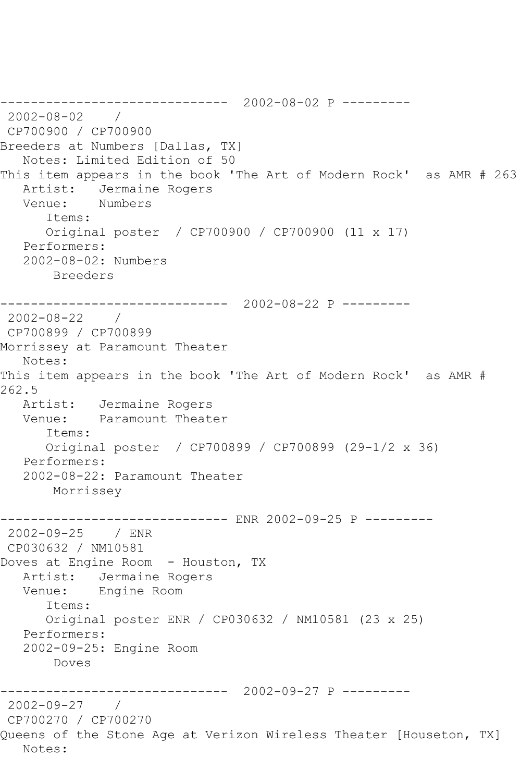```
------------------------------ 2002-08-02 P ---------
2002-08-02 / 
CP700900 / CP700900
Breeders at Numbers [Dallas, TX]
   Notes: Limited Edition of 50
This item appears in the book 'The Art of Modern Rock' as AMR # 263
   Artist: Jermaine Rogers
   Venue: Numbers
       Items:
       Original poster / CP700900 / CP700900 (11 x 17)
   Performers:
    2002-08-02: Numbers
        Breeders
------------------------------ 2002-08-22 P ---------
2002-08-22 / 
CP700899 / CP700899
Morrissey at Paramount Theater
   Notes: 
This item appears in the book 'The Art of Modern Rock' as AMR # 
262.5
   Artist: Jermaine Rogers
   Venue: Paramount Theater
       Items:
       Original poster / CP700899 / CP700899 (29-1/2 x 36)
   Performers:
    2002-08-22: Paramount Theater
        Morrissey
       ------------------------------ ENR 2002-09-25 P ---------
2002-09-25 / ENR 
CP030632 / NM10581
Doves at Engine Room - Houston, TX
  Artist: Jermaine Rogers<br>Venue: Engine Room
            Engine Room
       Items:
       Original poster ENR / CP030632 / NM10581 (23 x 25)
   Performers:
    2002-09-25: Engine Room
        Doves
                  ------------------------------ 2002-09-27 P ---------
2002-09-27 / 
CP700270 / CP700270
Queens of the Stone Age at Verizon Wireless Theater [Houseton, TX]
   Notes:
```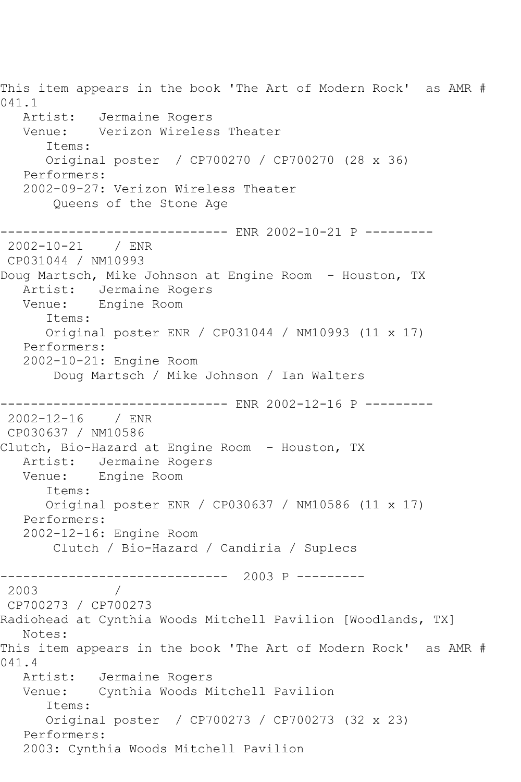This item appears in the book 'The Art of Modern Rock' as AMR # 041.1 Artist: Jermaine Rogers Venue: Verizon Wireless Theater Items: Original poster / CP700270 / CP700270 (28 x 36) Performers: 2002-09-27: Verizon Wireless Theater Queens of the Stone Age ------------------------------ ENR 2002-10-21 P --------- 2002-10-21 / ENR CP031044 / NM10993 Doug Martsch, Mike Johnson at Engine Room - Houston, TX Artist: Jermaine Rogers Venue: Engine Room Items: Original poster ENR / CP031044 / NM10993 (11 x 17) Performers: 2002-10-21: Engine Room Doug Martsch / Mike Johnson / Ian Walters ------------------------------ ENR 2002-12-16 P --------- 2002-12-16 / ENR CP030637 / NM10586 Clutch, Bio-Hazard at Engine Room - Houston, TX Artist: Jermaine Rogers Venue: Engine Room Items: Original poster ENR / CP030637 / NM10586 (11 x 17) Performers: 2002-12-16: Engine Room Clutch / Bio-Hazard / Candiria / Suplecs ------------------------------ 2003 P --------- 2003 / CP700273 / CP700273 Radiohead at Cynthia Woods Mitchell Pavilion [Woodlands, TX] Notes: This item appears in the book 'The Art of Modern Rock' as AMR # 041.4 Artist: Jermaine Rogers Venue: Cynthia Woods Mitchell Pavilion Items: Original poster / CP700273 / CP700273 (32 x 23) Performers: 2003: Cynthia Woods Mitchell Pavilion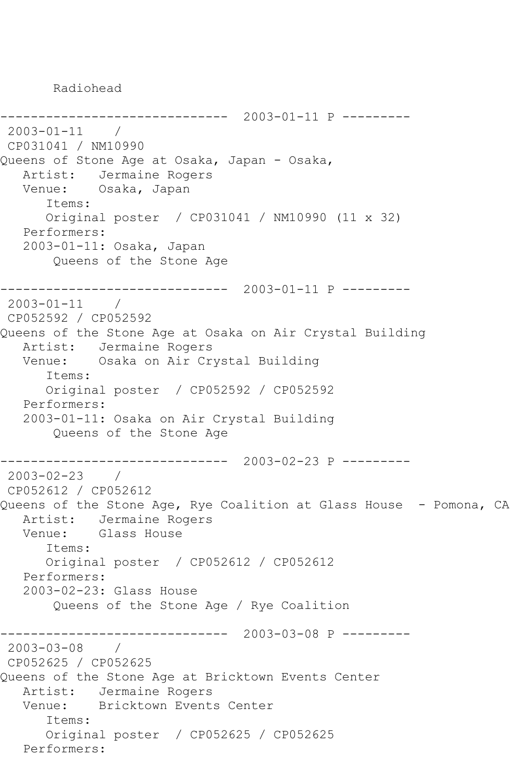Radiohead

```
------------------------------ 2003-01-11 P ---------
2003-01-11 / 
CP031041 / NM10990
Queens of Stone Age at Osaka, Japan - Osaka,
   Artist: Jermaine Rogers
   Venue: Osaka, Japan
      Items:
      Original poster / CP031041 / NM10990 (11 x 32)
   Performers:
   2003-01-11: Osaka, Japan
       Queens of the Stone Age
     ------------------------------ 2003-01-11 P ---------
2003-01-11 / 
CP052592 / CP052592
Queens of the Stone Age at Osaka on Air Crystal Building
   Artist: Jermaine Rogers
   Venue: Osaka on Air Crystal Building
      Items:
      Original poster / CP052592 / CP052592
   Performers:
   2003-01-11: Osaka on Air Crystal Building
       Queens of the Stone Age
------------------------------ 2003-02-23 P ---------
2003-02-23 / 
CP052612 / CP052612
Queens of the Stone Age, Rye Coalition at Glass House - Pomona, CA
   Artist: Jermaine Rogers
   Venue: Glass House
      Items:
      Original poster / CP052612 / CP052612
   Performers:
   2003-02-23: Glass House
       Queens of the Stone Age / Rye Coalition
------------------------------ 2003-03-08 P ---------
2003-03-08 / 
CP052625 / CP052625
Queens of the Stone Age at Bricktown Events Center
   Artist: Jermaine Rogers
   Venue: Bricktown Events Center
      Items:
      Original poster / CP052625 / CP052625
   Performers:
```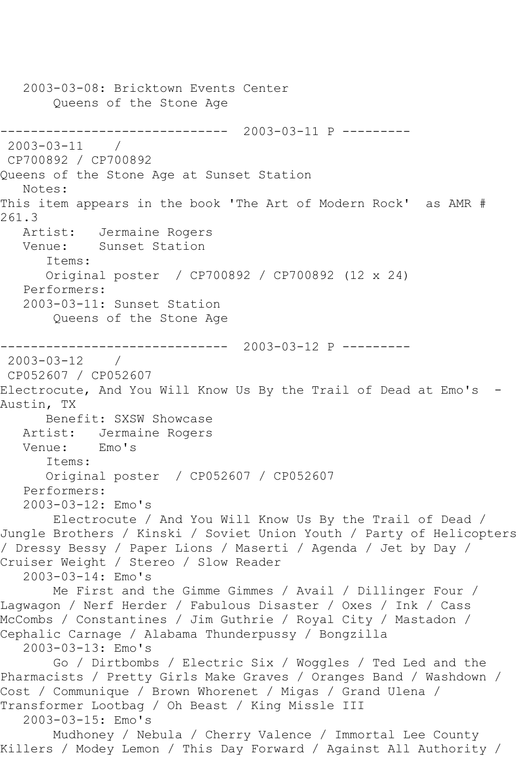2003-03-08: Bricktown Events Center Queens of the Stone Age ------------------------------ 2003-03-11 P ---------  $2003 - 03 - 11$ CP700892 / CP700892 Queens of the Stone Age at Sunset Station Notes: This item appears in the book 'The Art of Modern Rock' as AMR # 261.3<br>: Artist Jermaine Rogers Venue: Sunset Station Items: Original poster / CP700892 / CP700892 (12 x 24) Performers: 2003-03-11: Sunset Station Queens of the Stone Age ------------------------------ 2003-03-12 P --------- 2003-03-12 / CP052607 / CP052607 Electrocute, And You Will Know Us By the Trail of Dead at Emo's - Austin, TX Benefit: SXSW Showcase Artist: Jermaine Rogers<br>Venue: Emo's Venue: Items: Original poster / CP052607 / CP052607 Performers: 2003-03-12: Emo's Electrocute / And You Will Know Us By the Trail of Dead / Jungle Brothers / Kinski / Soviet Union Youth / Party of Helicopters / Dressy Bessy / Paper Lions / Maserti / Agenda / Jet by Day / Cruiser Weight / Stereo / Slow Reader 2003-03-14: Emo's Me First and the Gimme Gimmes / Avail / Dillinger Four / Lagwagon / Nerf Herder / Fabulous Disaster / Oxes / Ink / Cass McCombs / Constantines / Jim Guthrie / Royal City / Mastadon / Cephalic Carnage / Alabama Thunderpussy / Bongzilla 2003-03-13: Emo's Go / Dirtbombs / Electric Six / Woggles / Ted Led and the Pharmacists / Pretty Girls Make Graves / Oranges Band / Washdown / Cost / Communique / Brown Whorenet / Migas / Grand Ulena / Transformer Lootbag / Oh Beast / King Missle III 2003-03-15: Emo's Mudhoney / Nebula / Cherry Valence / Immortal Lee County Killers / Modey Lemon / This Day Forward / Against All Authority /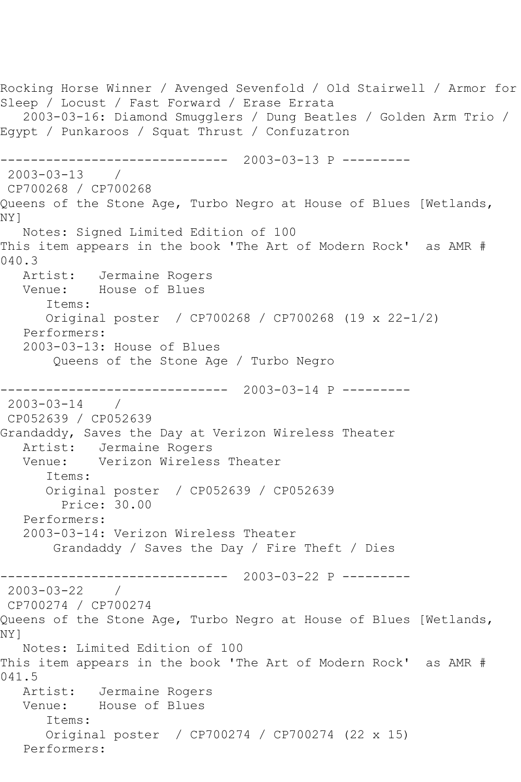Rocking Horse Winner / Avenged Sevenfold / Old Stairwell / Armor for Sleep / Locust / Fast Forward / Erase Errata 2003-03-16: Diamond Smugglers / Dung Beatles / Golden Arm Trio / Egypt / Punkaroos / Squat Thrust / Confuzatron ------------------------------ 2003-03-13 P --------- 2003-03-13 / CP700268 / CP700268 Queens of the Stone Age, Turbo Negro at House of Blues [Wetlands, NY] Notes: Signed Limited Edition of 100 This item appears in the book 'The Art of Modern Rock' as AMR # 040.3 Artist: Jermaine Rogers Venue: House of Blues Items: Original poster / CP700268 / CP700268 (19 x 22-1/2) Performers: 2003-03-13: House of Blues Queens of the Stone Age / Turbo Negro ------------------------------ 2003-03-14 P --------- 2003-03-14 / CP052639 / CP052639 Grandaddy, Saves the Day at Verizon Wireless Theater Artist: Jermaine Rogers<br>Venue: Verizon Wireles: Verizon Wireless Theater Items: Original poster / CP052639 / CP052639 Price: 30.00 Performers: 2003-03-14: Verizon Wireless Theater Grandaddy / Saves the Day / Fire Theft / Dies ------------------------------ 2003-03-22 P --------- 2003-03-22 / CP700274 / CP700274 Queens of the Stone Age, Turbo Negro at House of Blues [Wetlands, NY] Notes: Limited Edition of 100 This item appears in the book 'The Art of Modern Rock' as AMR # 041.5 Artist: Jermaine Rogers Venue: House of Blues Items: Original poster / CP700274 / CP700274 (22 x 15) Performers: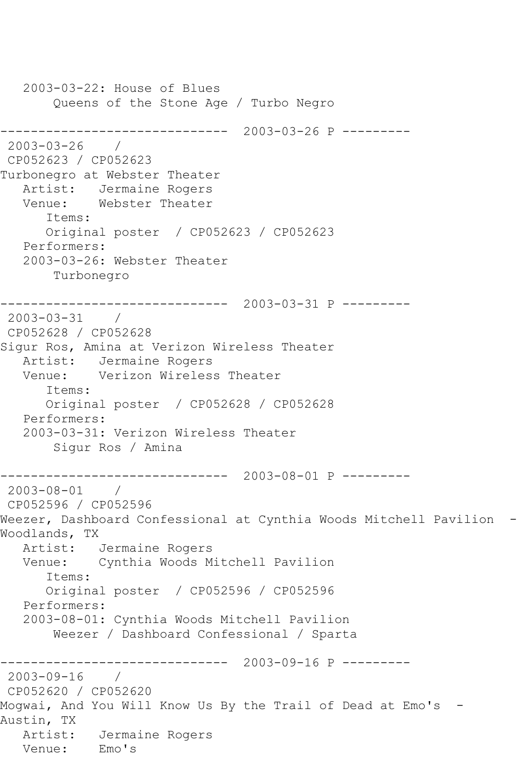2003-03-22: House of Blues Queens of the Stone Age / Turbo Negro ------------------------------ 2003-03-26 P --------- 2003-03-26 / CP052623 / CP052623 Turbonegro at Webster Theater Artist: Jermaine Rogers Venue: Webster Theater Items: Original poster / CP052623 / CP052623 Performers: 2003-03-26: Webster Theater Turbonegro ------------------------------ 2003-03-31 P --------- 2003-03-31 / CP052628 / CP052628 Sigur Ros, Amina at Verizon Wireless Theater Artist: Jermaine Rogers Venue: Verizon Wireless Theater Items: Original poster / CP052628 / CP052628 Performers: 2003-03-31: Verizon Wireless Theater Sigur Ros / Amina ------------------------------ 2003-08-01 P --------- 2003-08-01 / CP052596 / CP052596 Weezer, Dashboard Confessional at Cynthia Woods Mitchell Pavilion - Woodlands, TX Artist: Jermaine Rogers<br>Venue: Cynthia Woods M. Cynthia Woods Mitchell Pavilion Items: Original poster / CP052596 / CP052596 Performers: 2003-08-01: Cynthia Woods Mitchell Pavilion Weezer / Dashboard Confessional / Sparta ------------------------------ 2003-09-16 P --------- 2003-09-16 / CP052620 / CP052620 Mogwai, And You Will Know Us By the Trail of Dead at Emo's - Austin, TX Artist: Jermaine Rogers Venue: Emo's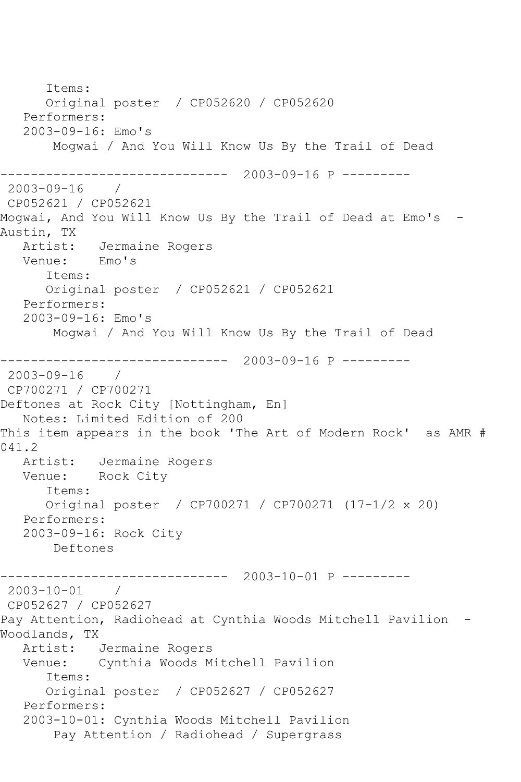Items: Original poster / CP052620 / CP052620 Performers: 2003-09-16: Emo's Mogwai / And You Will Know Us By the Trail of Dead ------------------------------ 2003-09-16 P --------- 2003-09-16 / CP052621 / CP052621 Mogwai, And You Will Know Us By the Trail of Dead at Emo's - Austin, TX Artist: Jermaine Rogers<br>Venue: Emo's Venue: Items: Original poster / CP052621 / CP052621 Performers: 2003-09-16: Emo's Mogwai / And You Will Know Us By the Trail of Dead ------------------------------ 2003-09-16 P ---------  $2003 - 09 - 16$ CP700271 / CP700271 Deftones at Rock City [Nottingham, En] Notes: Limited Edition of 200 This item appears in the book 'The Art of Modern Rock' as AMR # 041.2<br>Artist: Jermaine Rogers Venue: Rock City Items: Original poster / CP700271 / CP700271 (17-1/2 x 20) Performers: 2003-09-16: Rock City Deftones ------------------------------ 2003-10-01 P --------- 2003-10-01 / CP052627 / CP052627 Pay Attention, Radiohead at Cynthia Woods Mitchell Pavilion - Woodlands, TX Artist: Jermaine Rogers Venue: Cynthia Woods Mitchell Pavilion Items: Original poster / CP052627 / CP052627 Performers: 2003-10-01: Cynthia Woods Mitchell Pavilion Pay Attention / Radiohead / Supergrass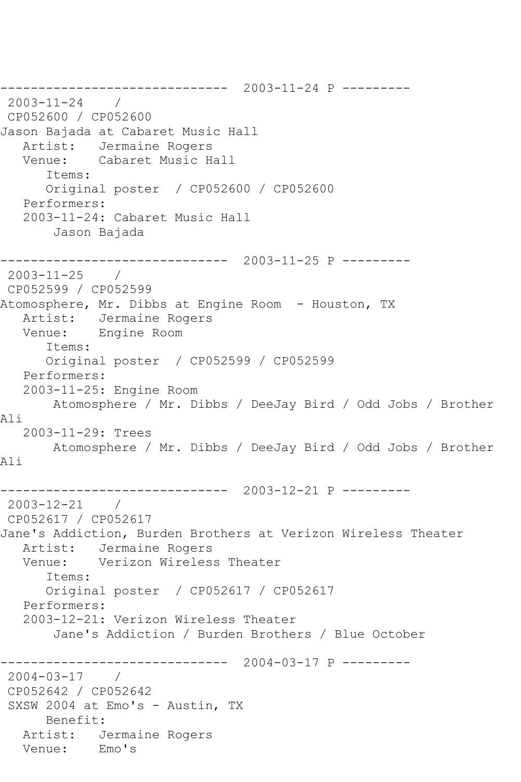------------------------------ 2003-11-24 P ---------  $2003 - 11 - 24$ CP052600 / CP052600 Jason Bajada at Cabaret Music Hall Artist: Jermaine Rogers Venue: Cabaret Music Hall Items: Original poster / CP052600 / CP052600 Performers: 2003-11-24: Cabaret Music Hall Jason Bajada ------------------------------ 2003-11-25 P --------- 2003-11-25 / CP052599 / CP052599 Atomosphere, Mr. Dibbs at Engine Room - Houston, TX Artist: Jermaine Rogers Venue: Engine Room Items: Original poster / CP052599 / CP052599 Performers: 2003-11-25: Engine Room Atomosphere / Mr. Dibbs / DeeJay Bird / Odd Jobs / Brother Ali 2003-11-29: Trees Atomosphere / Mr. Dibbs / DeeJay Bird / Odd Jobs / Brother Ali ------------------------------ 2003-12-21 P --------- 2003-12-21 / CP052617 / CP052617 Jane's Addiction, Burden Brothers at Verizon Wireless Theater Artist: Jermaine Rogers<br>Venue: Verizon Wireles Verizon Wireless Theater Items: Original poster / CP052617 / CP052617 Performers: 2003-12-21: Verizon Wireless Theater Jane's Addiction / Burden Brothers / Blue October ------------------------------ 2004-03-17 P --------- 2004-03-17 / CP052642 / CP052642 SXSW 2004 at Emo's - Austin, TX Benefit: Artist: Jermaine Rogers Venue: Emo's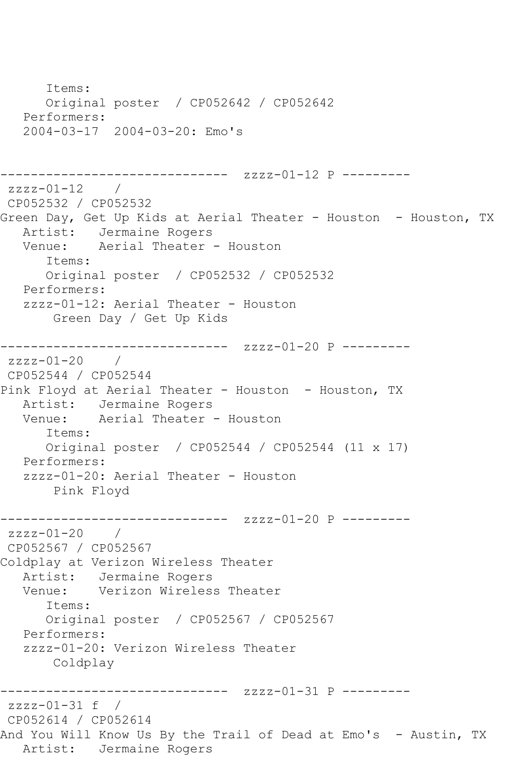Items: Original poster / CP052642 / CP052642 Performers: 2004-03-17 2004-03-20: Emo's ------------------------------ zzzz-01-12 P -------- zzzz-01-12 / CP052532 / CP052532 Green Day, Get Up Kids at Aerial Theater - Houston - Houston, TX Artist: Jermaine Rogers Venue: Aerial Theater - Houston Items: Original poster / CP052532 / CP052532 Performers: zzzz-01-12: Aerial Theater - Houston Green Day / Get Up Kids ------------------------------ zzzz-01-20 P -------- zzzz-01-20 / CP052544 / CP052544 Pink Floyd at Aerial Theater - Houston - Houston, TX Artist: Jermaine Rogers<br>Venue: Aerial Theater Aerial Theater - Houston Items: Original poster / CP052544 / CP052544 (11 x 17) Performers: zzzz-01-20: Aerial Theater - Houston Pink Floyd ------------------------------ zzzz-01-20 P -------- zzzz-01-20 / CP052567 / CP052567 Coldplay at Verizon Wireless Theater Artist: Jermaine Rogers Venue: Verizon Wireless Theater Items: Original poster / CP052567 / CP052567 Performers: zzzz-01-20: Verizon Wireless Theater Coldplay ------------------------------ zzzz-01-31 P -------- zzzz-01-31 f / CP052614 / CP052614 And You Will Know Us By the Trail of Dead at Emo's - Austin, TX Artist: Jermaine Rogers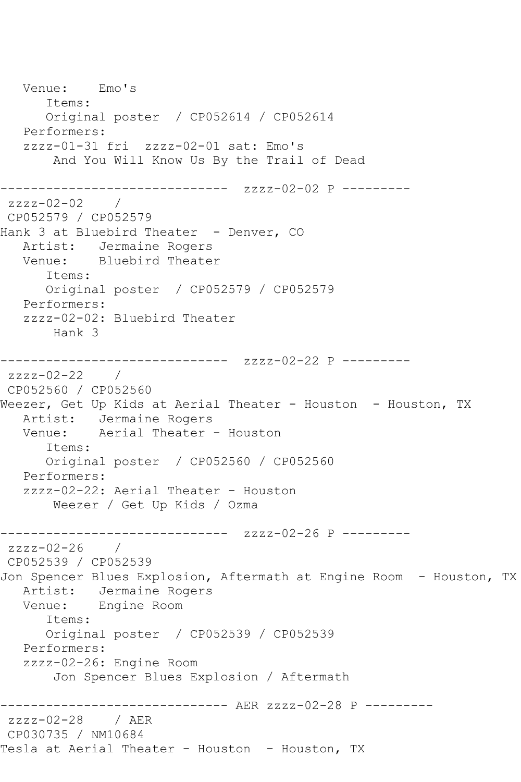Venue: Emo's Items: Original poster / CP052614 / CP052614 Performers: zzzz-01-31 fri zzzz-02-01 sat: Emo's And You Will Know Us By the Trail of Dead ------------------------------ zzzz-02-02 P -------- zzzz-02-02 / CP052579 / CP052579 Hank 3 at Bluebird Theater - Denver, CO Artist: Jermaine Rogers Venue: Bluebird Theater Items: Original poster / CP052579 / CP052579 Performers: zzzz-02-02: Bluebird Theater Hank 3 ------------------------------ zzzz-02-22 P -------- zzzz-02-22 / CP052560 / CP052560 Weezer, Get Up Kids at Aerial Theater - Houston - Houston, TX Artist: Jermaine Rogers Venue: Aerial Theater - Houston Items: Original poster / CP052560 / CP052560 Performers: zzzz-02-22: Aerial Theater - Houston Weezer / Get Up Kids / Ozma ------------------------------ zzzz-02-26 P --------  $zzzz-02-26$  / CP052539 / CP052539 Jon Spencer Blues Explosion, Aftermath at Engine Room - Houston, TX Artist: Jermaine Rogers<br>Venue: Engine Room Engine Room Items: Original poster / CP052539 / CP052539 Performers: zzzz-02-26: Engine Room Jon Spencer Blues Explosion / Aftermath ------------ AER zzzz-02-28 P --------zzzz-02-28 / AER CP030735 / NM10684 Tesla at Aerial Theater - Houston - Houston, TX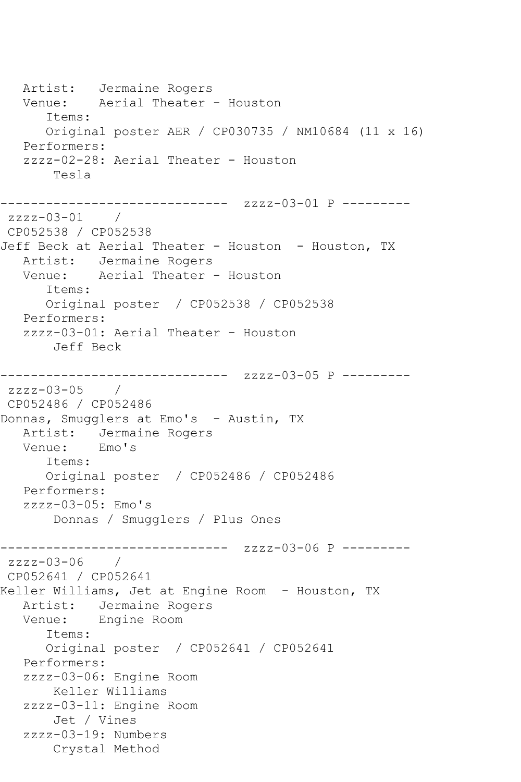Artist: Jermaine Rogers Venue: Aerial Theater - Houston Items: Original poster AER / CP030735 / NM10684 (11 x 16) Performers: zzzz-02-28: Aerial Theater - Houston Tesla ------------ zzzz-03-01 P --------zzzz-03-01 / CP052538 / CP052538 Jeff Beck at Aerial Theater - Houston - Houston, TX Artist: Jermaine Rogers Venue: Aerial Theater - Houston Items: Original poster / CP052538 / CP052538 Performers: zzzz-03-01: Aerial Theater - Houston Jeff Beck ------------------------------ zzzz-03-05 P -------- zzzz-03-05 / CP052486 / CP052486 Donnas, Smugglers at Emo's - Austin, TX Artist: Jermaine Rogers<br>Venue: Emo's Venue: Items: Original poster / CP052486 / CP052486 Performers: zzzz-03-05: Emo's Donnas / Smugglers / Plus Ones ------------------------------ zzzz-03-06 P --------  $zzzz-03-06$ CP052641 / CP052641 Keller Williams, Jet at Engine Room - Houston, TX Artist: Jermaine Rogers Venue: Engine Room Items: Original poster / CP052641 / CP052641 Performers: zzzz-03-06: Engine Room Keller Williams zzzz-03-11: Engine Room Jet / Vines zzzz-03-19: Numbers Crystal Method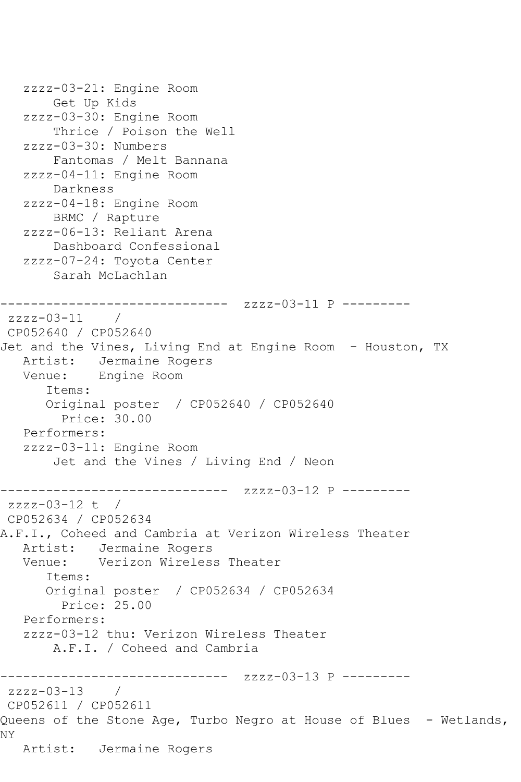```
 zzzz-03-21: Engine Room
        Get Up Kids
    zzzz-03-30: Engine Room
        Thrice / Poison the Well
    zzzz-03-30: Numbers
        Fantomas / Melt Bannana
    zzzz-04-11: Engine Room
        Darkness
    zzzz-04-18: Engine Room
        BRMC / Rapture
    zzzz-06-13: Reliant Arena
        Dashboard Confessional
    zzzz-07-24: Toyota Center
        Sarah McLachlan
      ------------------------------ zzzz-03-11 P ---------
zzzz-03-11 /
CP052640 / CP052640
Jet and the Vines, Living End at Engine Room - Houston, TX
   Artist: Jermaine Rogers
   Venue: Engine Room
       Items:
       Original poster / CP052640 / CP052640
         Price: 30.00
   Performers:
    zzzz-03-11: Engine Room
        Jet and the Vines / Living End / Neon
                --------------- zzzz-03-12 P ---------
zzzz-03-12 t / 
CP052634 / CP052634
A.F.I., Coheed and Cambria at Verizon Wireless Theater
  Artist: Jermaine Rogers<br>Venue: Verizon Wireles
            Verizon Wireless Theater
       Items:
       Original poster / CP052634 / CP052634
         Price: 25.00
    Performers:
    zzzz-03-12 thu: Verizon Wireless Theater
        A.F.I. / Coheed and Cambria
------------------------------ zzzz-03-13 P ---------
zzzz-03-13 / 
CP052611 / CP052611
Queens of the Stone Age, Turbo Negro at House of Blues - Wetlands,
NY
   Artist: Jermaine Rogers
```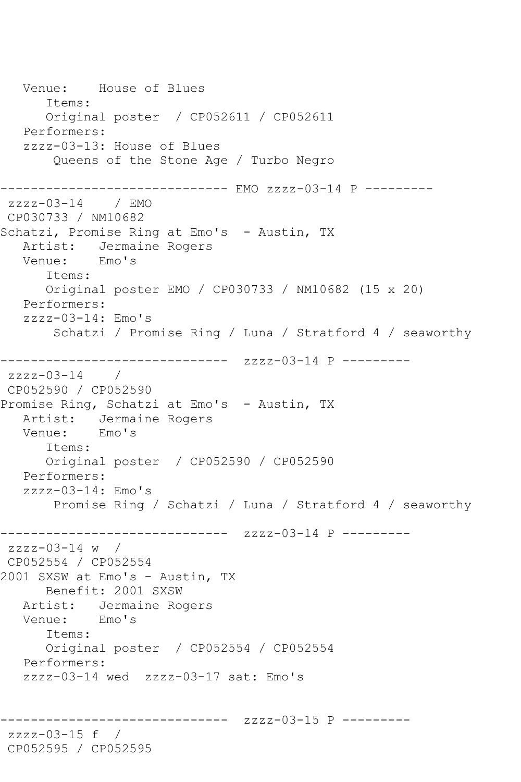Venue: House of Blues Items: Original poster / CP052611 / CP052611 Performers: zzzz-03-13: House of Blues Queens of the Stone Age / Turbo Negro ------------------------------ EMO zzzz-03-14 P -------- zzzz-03-14 / EMO CP030733 / NM10682 Schatzi, Promise Ring at Emo's - Austin, TX Artist: Jermaine Rogers<br>Venue: Emo's Venue: Items: Original poster EMO / CP030733 / NM10682 (15 x 20) Performers: zzzz-03-14: Emo's Schatzi / Promise Ring / Luna / Stratford 4 / seaworthy ------------------------------ zzzz-03-14 P -------- zzzz-03-14 / CP052590 / CP052590 Promise Ring, Schatzi at Emo's - Austin, TX Artist: Jermaine Rogers Venue: Emo's Items: Original poster / CP052590 / CP052590 Performers: zzzz-03-14: Emo's Promise Ring / Schatzi / Luna / Stratford 4 / seaworthy ------------------------------ zzzz-03-14 P -------- zzzz-03-14 w / CP052554 / CP052554 2001 SXSW at Emo's - Austin, TX Benefit: 2001 SXSW Artist: Jermaine Rogers Venue: Emo's Items: Original poster / CP052554 / CP052554 Performers: zzzz-03-14 wed zzzz-03-17 sat: Emo's ------------------------------ zzzz-03-15 P -------- zzzz-03-15 f / CP052595 / CP052595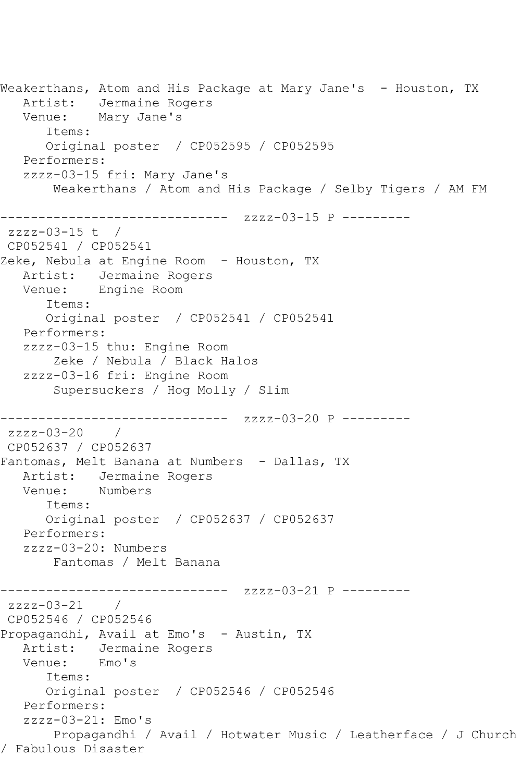Weakerthans, Atom and His Package at Mary Jane's - Houston, TX Artist: Jermaine Rogers Venue: Mary Jane's Items: Original poster / CP052595 / CP052595 Performers: zzzz-03-15 fri: Mary Jane's Weakerthans / Atom and His Package / Selby Tigers / AM FM ------------------------------ zzzz-03-15 P -------- zzzz-03-15 t / CP052541 / CP052541 Zeke, Nebula at Engine Room - Houston, TX Artist: Jermaine Rogers Venue: Engine Room Items: Original poster / CP052541 / CP052541 Performers: zzzz-03-15 thu: Engine Room Zeke / Nebula / Black Halos zzzz-03-16 fri: Engine Room Supersuckers / Hog Molly / Slim ------------------------------ zzzz-03-20 P -------- zzzz-03-20 / CP052637 / CP052637 Fantomas, Melt Banana at Numbers - Dallas, TX Artist: Jermaine Rogers<br>Venue: Numbers Venue: Items: Original poster / CP052637 / CP052637 Performers: zzzz-03-20: Numbers Fantomas / Melt Banana ------------------------------ zzzz-03-21 P -------- zzzz-03-21 / CP052546 / CP052546 Propagandhi, Avail at Emo's - Austin, TX Artist: Jermaine Rogers Venue: Emo's Items: Original poster / CP052546 / CP052546 Performers: zzzz-03-21: Emo's Propagandhi / Avail / Hotwater Music / Leatherface / J Church / Fabulous Disaster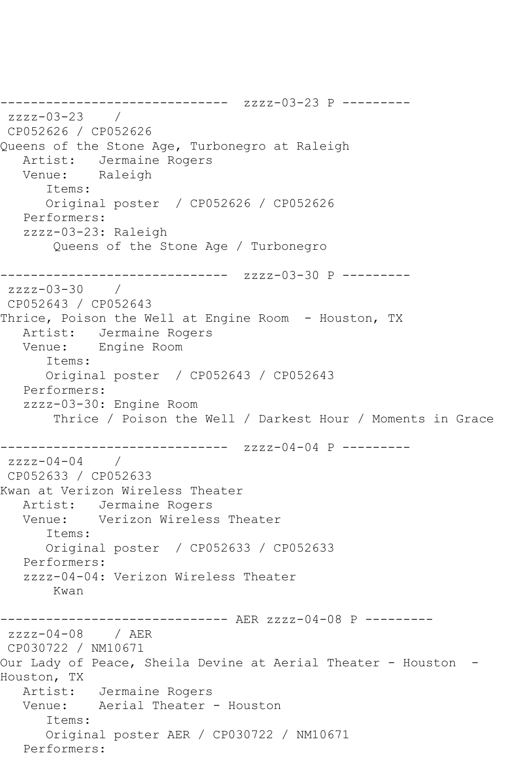------------------------------ zzzz-03-23 P -------- zzzz-03-23 / CP052626 / CP052626 Queens of the Stone Age, Turbonegro at Raleigh Artist: Jermaine Rogers<br>Venue: Raleigh Venue: Items: Original poster / CP052626 / CP052626 Performers: zzzz-03-23: Raleigh Queens of the Stone Age / Turbonegro ------------------------------ zzzz-03-30 P -------- zzzz-03-30 / CP052643 / CP052643 Thrice, Poison the Well at Engine Room - Houston, TX Artist: Jermaine Rogers Venue: Engine Room Items: Original poster / CP052643 / CP052643 Performers: zzzz-03-30: Engine Room Thrice / Poison the Well / Darkest Hour / Moments in Grace ------------------------------ zzzz-04-04 P -------- zzzz-04-04 / CP052633 / CP052633 Kwan at Verizon Wireless Theater Artist: Jermaine Rogers<br>Venue: Verizon Wireles Verizon Wireless Theater Items: Original poster / CP052633 / CP052633 Performers: zzzz-04-04: Verizon Wireless Theater Kwan ------------------------------ AER zzzz-04-08 P -------- zzzz-04-08 / AER CP030722 / NM10671 Our Lady of Peace, Sheila Devine at Aerial Theater - Houston -Houston, TX Artist: Jermaine Rogers Venue: Aerial Theater - Houston Items: Original poster AER / CP030722 / NM10671 Performers: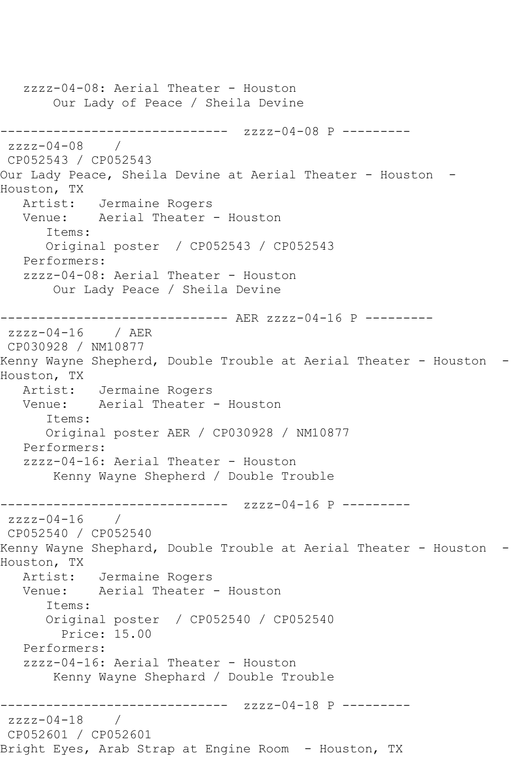zzzz-04-08: Aerial Theater - Houston Our Lady of Peace / Sheila Devine ------------------------------ zzzz-04-08 P --------  $zzzz-04-08$ CP052543 / CP052543 Our Lady Peace, Sheila Devine at Aerial Theater - Houston -Houston, TX Artist: Jermaine Rogers Venue: Aerial Theater - Houston Items: Original poster / CP052543 / CP052543 Performers: zzzz-04-08: Aerial Theater - Houston Our Lady Peace / Sheila Devine ------------------------------ AER zzzz-04-16 P -------- zzzz-04-16 / AER CP030928 / NM10877 Kenny Wayne Shepherd, Double Trouble at Aerial Theater - Houston -Houston, TX Artist: Jermaine Rogers Venue: Aerial Theater - Houston Items: Original poster AER / CP030928 / NM10877 Performers: zzzz-04-16: Aerial Theater - Houston Kenny Wayne Shepherd / Double Trouble ------------------------------ zzzz-04-16 P -------- zzzz-04-16 / CP052540 / CP052540 Kenny Wayne Shephard, Double Trouble at Aerial Theater - Houston -Houston, TX Artist: Jermaine Rogers Venue: Aerial Theater - Houston Items: Original poster / CP052540 / CP052540 Price: 15.00 Performers: zzzz-04-16: Aerial Theater - Houston Kenny Wayne Shephard / Double Trouble ------------------------------ zzzz-04-18 P -------- zzzz-04-18 / CP052601 / CP052601 Bright Eyes, Arab Strap at Engine Room - Houston, TX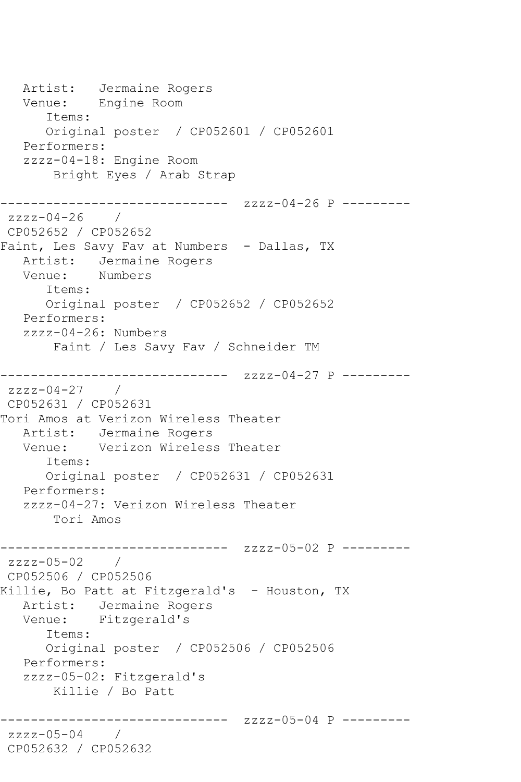Artist: Jermaine Rogers Venue: Engine Room Items: Original poster / CP052601 / CP052601 Performers: zzzz-04-18: Engine Room Bright Eyes / Arab Strap -------------- zzzz-04-26 P -------- $zzzz-04-26$  / CP052652 / CP052652 Faint, Les Savy Fav at Numbers - Dallas, TX Artist: Jermaine Rogers Venue: Numbers Items: Original poster / CP052652 / CP052652 Performers: zzzz-04-26: Numbers Faint / Les Savy Fav / Schneider TM ------------------------------ zzzz-04-27 P -------- zzzz-04-27 / CP052631 / CP052631 Tori Amos at Verizon Wireless Theater Artist: Jermaine Rogers Venue: Verizon Wireless Theater Items: Original poster / CP052631 / CP052631 Performers: zzzz-04-27: Verizon Wireless Theater Tori Amos ------------------------------ zzzz-05-02 P --------  $zzzz-05-02$ CP052506 / CP052506 Killie, Bo Patt at Fitzgerald's - Houston, TX Artist: Jermaine Rogers Venue: Fitzgerald's Items: Original poster / CP052506 / CP052506 Performers: zzzz-05-02: Fitzgerald's Killie / Bo Patt ------------------------------ zzzz-05-04 P -------- zzzz-05-04 / CP052632 / CP052632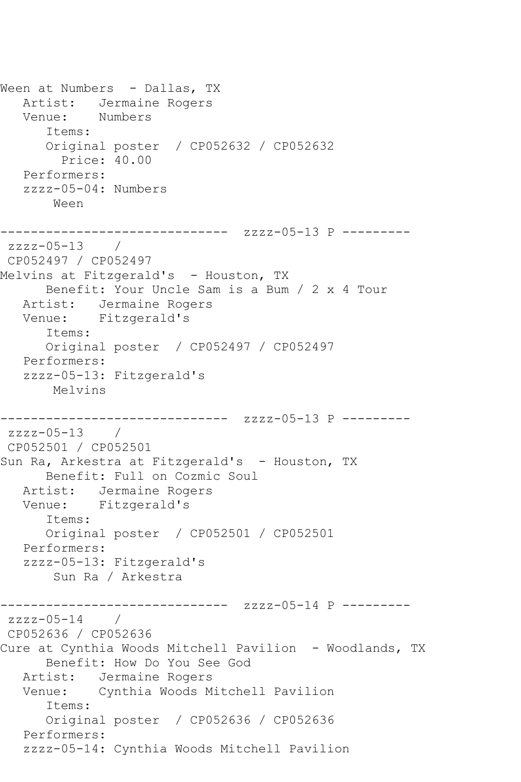```
Ween at Numbers - Dallas, TX
   Artist: Jermaine Rogers
   Venue: Numbers
      Items:
      Original poster / CP052632 / CP052632
        Price: 40.00
   Performers:
   zzzz-05-04: Numbers
       Ween
------------------------------ zzzz-05-13 P ---------
zzzz-05-13 / 
CP052497 / CP052497
Melvins at Fitzgerald's - Houston, TX
      Benefit: Your Uncle Sam is a Bum / 2 x 4 Tour
   Artist: Jermaine Rogers
   Venue: Fitzgerald's
      Items:
      Original poster / CP052497 / CP052497
   Performers:
   zzzz-05-13: Fitzgerald's
       Melvins
------------------------------ zzzz-05-13 P ---------
zzzz-05-13 / 
CP052501 / CP052501
Sun Ra, Arkestra at Fitzgerald's - Houston, TX
      Benefit: Full on Cozmic Soul
   Artist: Jermaine Rogers
   Venue: Fitzgerald's
      Items:
      Original poster / CP052501 / CP052501
   Performers:
   zzzz-05-13: Fitzgerald's
       Sun Ra / Arkestra
------------------------------ zzzz-05-14 P ---------
zzzz-05-14 / 
CP052636 / CP052636
Cure at Cynthia Woods Mitchell Pavilion - Woodlands, TX
      Benefit: How Do You See God
   Artist: Jermaine Rogers
   Venue: Cynthia Woods Mitchell Pavilion
      Items:
      Original poster / CP052636 / CP052636
   Performers:
   zzzz-05-14: Cynthia Woods Mitchell Pavilion
```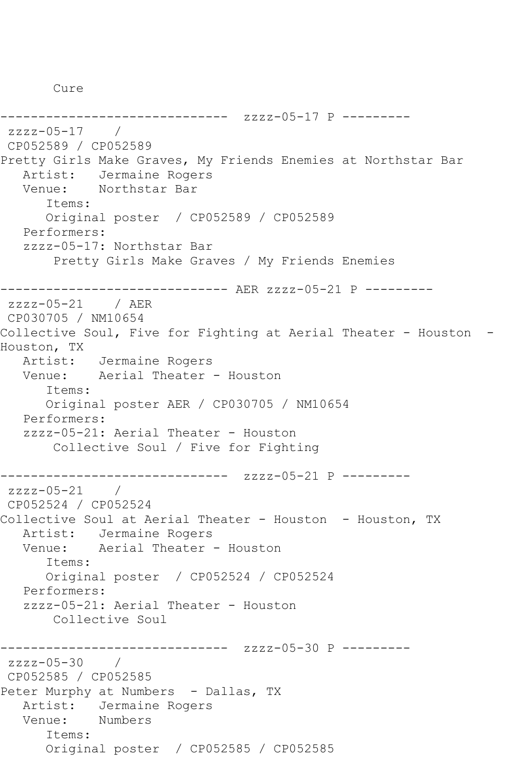Cure

------------------------------ zzzz-05-17 P -------- zzzz-05-17 / CP052589 / CP052589 Pretty Girls Make Graves, My Friends Enemies at Northstar Bar Artist: Jermaine Rogers Venue: Northstar Bar Items: Original poster / CP052589 / CP052589 Performers: zzzz-05-17: Northstar Bar Pretty Girls Make Graves / My Friends Enemies ------------------------------ AER zzzz-05-21 P -------- zzzz-05-21 / AER CP030705 / NM10654 Collective Soul, Five for Fighting at Aerial Theater - Houston - Houston, TX Artist: Jermaine Rogers Venue: Aerial Theater - Houston Items: Original poster AER / CP030705 / NM10654 Performers: zzzz-05-21: Aerial Theater - Houston Collective Soul / Five for Fighting ------------------------------ zzzz-05-21 P --------  $zzzz-05-21$ CP052524 / CP052524 Collective Soul at Aerial Theater - Houston - Houston, TX Artist: Jermaine Rogers Venue: Aerial Theater - Houston Items: Original poster / CP052524 / CP052524 Performers: zzzz-05-21: Aerial Theater - Houston Collective Soul ------------------------------ zzzz-05-30 P -------- zzzz-05-30 / CP052585 / CP052585 Peter Murphy at Numbers - Dallas, TX Artist: Jermaine Rogers Venue: Numbers Items: Original poster / CP052585 / CP052585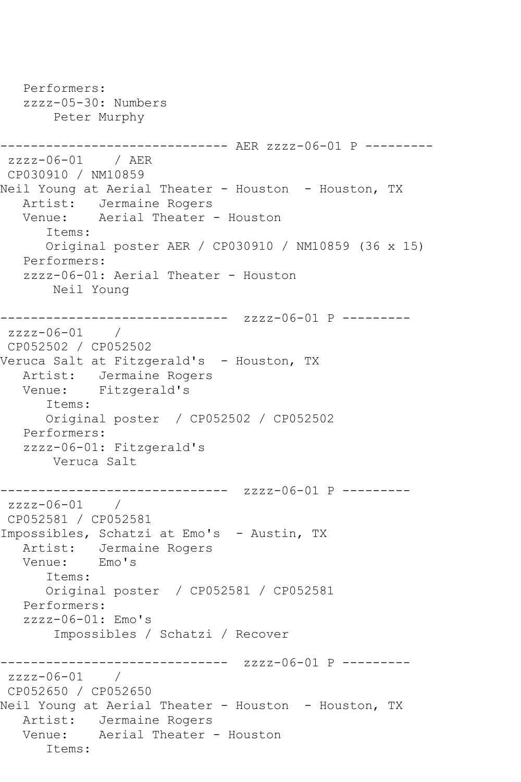Performers: zzzz-05-30: Numbers Peter Murphy ------------------------------ AER zzzz-06-01 P -------- zzzz-06-01 / AER CP030910 / NM10859 Neil Young at Aerial Theater - Houston - Houston, TX Artist: Jermaine Rogers Venue: Aerial Theater - Houston Items: Original poster AER / CP030910 / NM10859 (36 x 15) Performers: zzzz-06-01: Aerial Theater - Houston Neil Young ---------------- zzzz-06-01 P --------zzzz-06-01 / CP052502 / CP052502 Veruca Salt at Fitzgerald's - Houston, TX Artist: Jermaine Rogers Venue: Fitzgerald's Items: Original poster / CP052502 / CP052502 Performers: zzzz-06-01: Fitzgerald's Veruca Salt ------------------------------ zzzz-06-01 P -------- zzzz-06-01 / CP052581 / CP052581 Impossibles, Schatzi at Emo's - Austin, TX Artist: Jermaine Rogers<br>Venue: Emo's Venue: Items: Original poster / CP052581 / CP052581 Performers: zzzz-06-01: Emo's Impossibles / Schatzi / Recover ------------------------------ zzzz-06-01 P --------  $zzzz-06-01$ CP052650 / CP052650 Neil Young at Aerial Theater - Houston - Houston, TX Artist: Jermaine Rogers Venue: Aerial Theater - Houston Items: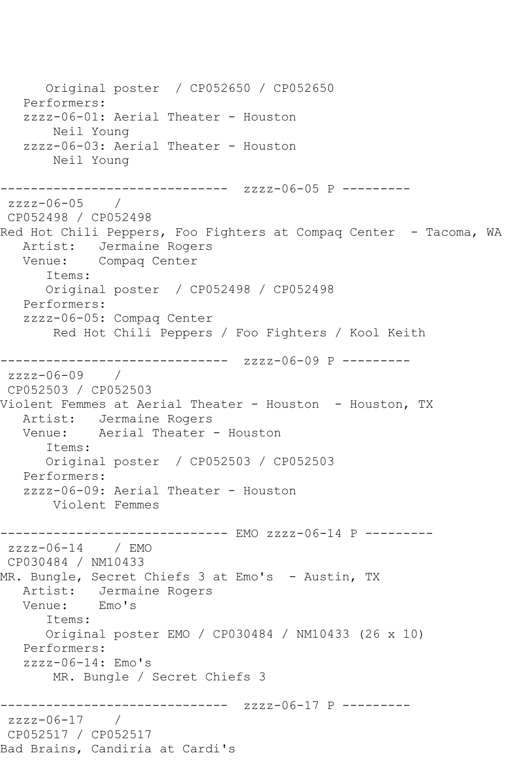Original poster / CP052650 / CP052650 Performers: zzzz-06-01: Aerial Theater - Houston Neil Young zzzz-06-03: Aerial Theater - Houston Neil Young ------------------------------ zzzz-06-05 P -------- zzzz-06-05 / CP052498 / CP052498 Red Hot Chili Peppers, Foo Fighters at Compag Center - Tacoma, WA Artist: Jermaine Rogers Venue: Compaq Center Items: Original poster / CP052498 / CP052498 Performers: zzzz-06-05: Compaq Center Red Hot Chili Peppers / Foo Fighters / Kool Keith ------------------------------ zzzz-06-09 P -------- zzzz-06-09 / CP052503 / CP052503 Violent Femmes at Aerial Theater - Houston - Houston, TX Artist: Jermaine Rogers Venue: Aerial Theater - Houston Items: Original poster / CP052503 / CP052503 Performers: zzzz-06-09: Aerial Theater - Houston Violent Femmes ------------------------------ EMO zzzz-06-14 P --------  $zzzz-06-14$  / EMO CP030484 / NM10433 MR. Bungle, Secret Chiefs 3 at Emo's - Austin, TX Artist: Jermaine Rogers Venue: Emo's Items: Original poster EMO / CP030484 / NM10433 (26 x 10) Performers: zzzz-06-14: Emo's MR. Bungle / Secret Chiefs 3 ------------------------------ zzzz-06-17 P -------- zzzz-06-17 / CP052517 / CP052517 Bad Brains, Candiria at Cardi's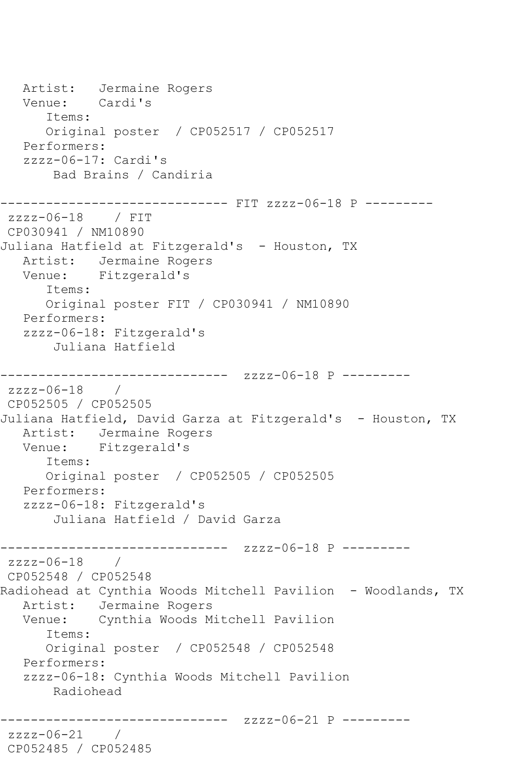Artist: Jermaine Rogers Venue: Cardi's Items: Original poster / CP052517 / CP052517 Performers: zzzz-06-17: Cardi's Bad Brains / Candiria ------------------------------ FIT zzzz-06-18 P -------- zzzz-06-18 / FIT CP030941 / NM10890 Juliana Hatfield at Fitzgerald's - Houston, TX Artist: Jermaine Rogers Venue: Fitzgerald's Items: Original poster FIT / CP030941 / NM10890 Performers: zzzz-06-18: Fitzgerald's Juliana Hatfield ------------------------------ zzzz-06-18 P -------- zzzz-06-18 / CP052505 / CP052505 Juliana Hatfield, David Garza at Fitzgerald's - Houston, TX Artist: Jermaine Rogers Venue: Fitzgerald's Items: Original poster / CP052505 / CP052505 Performers: zzzz-06-18: Fitzgerald's Juliana Hatfield / David Garza ------------------------------ zzzz-06-18 P --------  $zzzz-06-18$ CP052548 / CP052548 Radiohead at Cynthia Woods Mitchell Pavilion - Woodlands, TX Artist: Jermaine Rogers Venue: Cynthia Woods Mitchell Pavilion Items: Original poster / CP052548 / CP052548 Performers: zzzz-06-18: Cynthia Woods Mitchell Pavilion Radiohead ------------------------------ zzzz-06-21 P -------- zzzz-06-21 / CP052485 / CP052485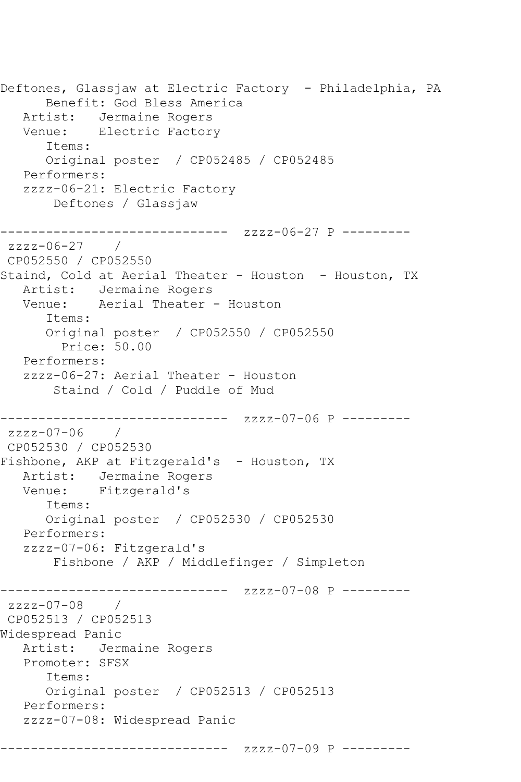Deftones, Glassjaw at Electric Factory - Philadelphia, PA Benefit: God Bless America Artist: Jermaine Rogers Venue: Electric Factory Items: Original poster / CP052485 / CP052485 Performers: zzzz-06-21: Electric Factory Deftones / Glassjaw ------------------------------ zzzz-06-27 P --------  $zzzz-06-27$  / CP052550 / CP052550 Staind, Cold at Aerial Theater - Houston - Houston, TX Artist: Jermaine Rogers Venue: Aerial Theater - Houston Items: Original poster / CP052550 / CP052550 Price: 50.00 Performers: zzzz-06-27: Aerial Theater - Houston Staind / Cold / Puddle of Mud ------------------------------ zzzz-07-06 P -------- zzzz-07-06 / CP052530 / CP052530 Fishbone, AKP at Fitzgerald's - Houston, TX Artist: Jermaine Rogers Venue: Fitzgerald's Items: Original poster / CP052530 / CP052530 Performers: zzzz-07-06: Fitzgerald's Fishbone / AKP / Middlefinger / Simpleton ------------------------------ zzzz-07-08 P -------- zzzz-07-08 / CP052513 / CP052513 Widespread Panic Artist: Jermaine Rogers Promoter: SFSX Items: Original poster / CP052513 / CP052513 Performers: zzzz-07-08: Widespread Panic ------------------------------ zzzz-07-09 P ---------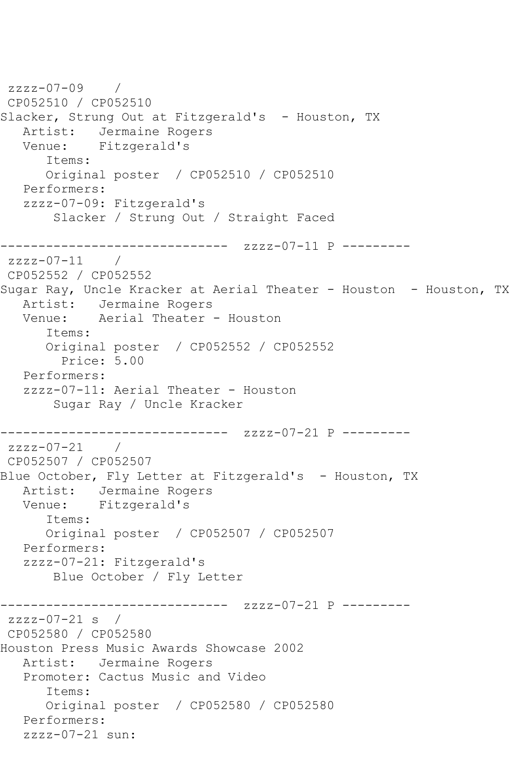```
zzzz-07-09 / 
CP052510 / CP052510
Slacker, Strung Out at Fitzgerald's - Houston, TX
  Artist: Jermaine Rogers<br>Venue: Fitzgerald's
           Fitzgerald's
       Items:
      Original poster / CP052510 / CP052510
   Performers:
   zzzz-07-09: Fitzgerald's
        Slacker / Strung Out / Straight Faced
------------------------------ zzzz-07-11 P ---------
zzzz-07-11 /
CP052552 / CP052552
Sugar Ray, Uncle Kracker at Aerial Theater - Houston - Houston, TX
   Artist: Jermaine Rogers
  Venue: Aerial Theater - Houston
       Items:
       Original poster / CP052552 / CP052552
         Price: 5.00
   Performers:
   zzzz-07-11: Aerial Theater - Houston
        Sugar Ray / Uncle Kracker
     ------------------------------ zzzz-07-21 P ---------
zzzz-07-21 /
CP052507 / CP052507
Blue October, Fly Letter at Fitzgerald's - Houston, TX
   Artist: Jermaine Rogers
   Venue: Fitzgerald's
       Items:
       Original poster / CP052507 / CP052507
   Performers:
   zzzz-07-21: Fitzgerald's
        Blue October / Fly Letter
------------------------------ zzzz-07-21 P ---------
zzzz-07-21 s / 
CP052580 / CP052580
Houston Press Music Awards Showcase 2002
   Artist: Jermaine Rogers
   Promoter: Cactus Music and Video
       Items:
      Original poster / CP052580 / CP052580
   Performers:
   zzzz-07-21 sun:
```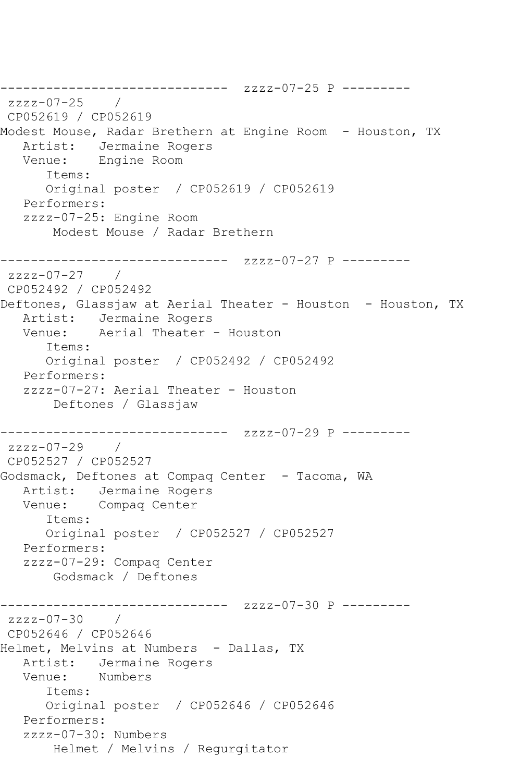```
------------------------------ zzzz-07-25 P ---------
zzzz-07-25CP052619 / CP052619
Modest Mouse, Radar Brethern at Engine Room - Houston, TX
   Artist: Jermaine Rogers
   Venue: Engine Room
       Items:
       Original poster / CP052619 / CP052619
   Performers:
   zzzz-07-25: Engine Room
        Modest Mouse / Radar Brethern
------------------------------ zzzz-07-27 P ---------
zzzz-07-27 / 
CP052492 / CP052492
Deftones, Glassjaw at Aerial Theater - Houston - Houston, TX
  Artist: Jermaine Rogers<br>Venue: Aerial Theater
            Aerial Theater - Houston
       Items:
      Original poster / CP052492 / CP052492
   Performers:
   zzzz-07-27: Aerial Theater - Houston
        Deftones / Glassjaw
         ------------------------------ zzzz-07-29 P ---------
zzzz-07-29 /
CP052527 / CP052527
Godsmack, Deftones at Compaq Center - Tacoma, WA
   Artist: Jermaine Rogers
   Venue: Compaq Center
       Items:
       Original poster / CP052527 / CP052527
   Performers:
   zzzz-07-29: Compaq Center
        Godsmack / Deftones
       ------------------------------ zzzz-07-30 P ---------
zzzz-07-30 / 
CP052646 / CP052646
Helmet, Melvins at Numbers - Dallas, TX
   Artist: Jermaine Rogers
   Venue: Numbers
       Items:
      Original poster / CP052646 / CP052646
   Performers:
   zzzz-07-30: Numbers
        Helmet / Melvins / Regurgitator
```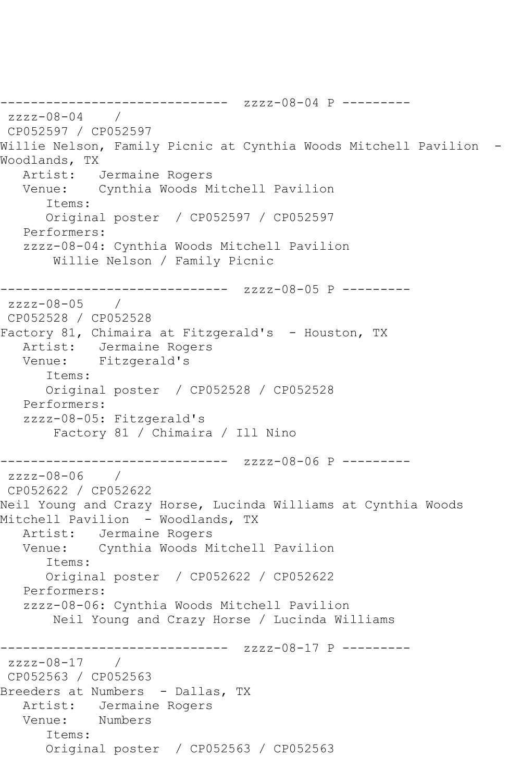------------------------------ zzzz-08-04 P -------- zzzz-08-04 / CP052597 / CP052597 Willie Nelson, Family Picnic at Cynthia Woods Mitchell Pavilion - Woodlands, TX Artist: Jermaine Rogers Venue: Cynthia Woods Mitchell Pavilion Items: Original poster / CP052597 / CP052597 Performers: zzzz-08-04: Cynthia Woods Mitchell Pavilion Willie Nelson / Family Picnic ------------------------------ zzzz-08-05 P -------- zzzz-08-05 / CP052528 / CP052528 Factory 81, Chimaira at Fitzgerald's - Houston, TX Artist: Jermaine Rogers Venue: Fitzgerald's Items: Original poster / CP052528 / CP052528 Performers: zzzz-08-05: Fitzgerald's Factory 81 / Chimaira / Ill Nino ------------------------------ zzzz-08-06 P -------- zzzz-08-06 / CP052622 / CP052622 Neil Young and Crazy Horse, Lucinda Williams at Cynthia Woods Mitchell Pavilion - Woodlands, TX Artist: Jermaine Rogers Venue: Cynthia Woods Mitchell Pavilion Items: Original poster / CP052622 / CP052622 Performers: zzzz-08-06: Cynthia Woods Mitchell Pavilion Neil Young and Crazy Horse / Lucinda Williams ------------------------------ zzzz-08-17 P -------- zzzz-08-17 / CP052563 / CP052563 Breeders at Numbers - Dallas, TX Artist: Jermaine Rogers Venue: Numbers Items: Original poster / CP052563 / CP052563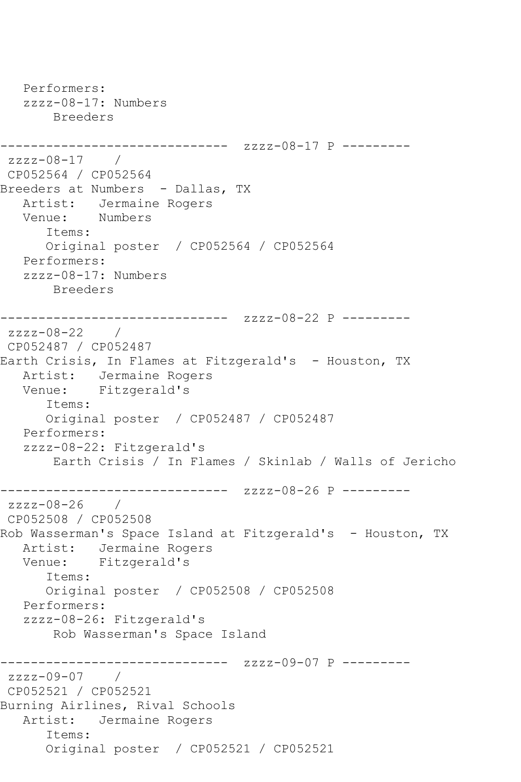```
 Performers:
   zzzz-08-17: Numbers
       Breeders
------------------------------ zzzz-08-17 P ---------
zzzz-08-17 / 
CP052564 / CP052564
Breeders at Numbers - Dallas, TX
  Artist: Jermaine Rogers<br>Venue: Numbers
  Venue:
       Items:
      Original poster / CP052564 / CP052564
   Performers:
   zzzz-08-17: Numbers
       Breeders
------------------------------ zzzz-08-22 P ---------
zzzz-08-22 /
CP052487 / CP052487
Earth Crisis, In Flames at Fitzgerald's - Houston, TX
   Artist: Jermaine Rogers
   Venue: Fitzgerald's
      Items:
      Original poster / CP052487 / CP052487
   Performers:
   zzzz-08-22: Fitzgerald's
        Earth Crisis / In Flames / Skinlab / Walls of Jericho
------------------------------ zzzz-08-26 P ---------
zzzz-08-26 / 
CP052508 / CP052508
Rob Wasserman's Space Island at Fitzgerald's - Houston, TX
  Artist: Jermaine Rogers<br>Venue: Fitzgerald's
            Fitzgerald's
       Items:
      Original poster / CP052508 / CP052508
   Performers:
   zzzz-08-26: Fitzgerald's
       Rob Wasserman's Space Island
                 -------------- zzzz-09-07 P ---------
zzzz-09-07 / 
CP052521 / CP052521
Burning Airlines, Rival Schools
   Artist: Jermaine Rogers
       Items:
       Original poster / CP052521 / CP052521
```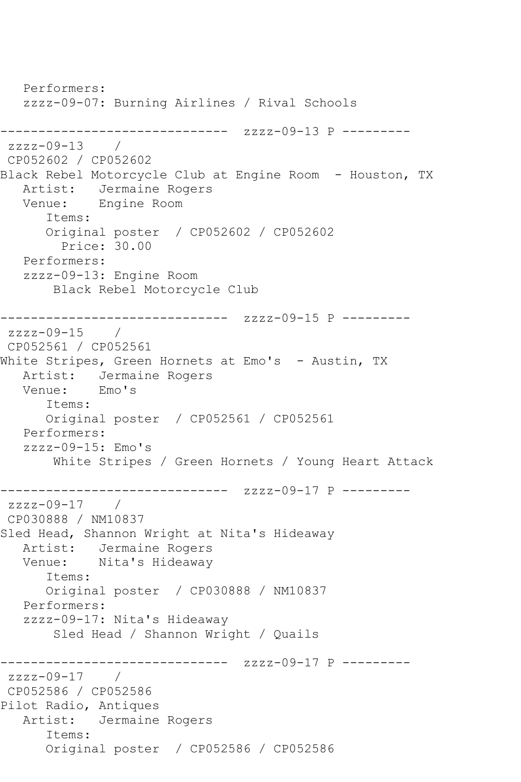Performers: zzzz-09-07: Burning Airlines / Rival Schools ------------------------------ zzzz-09-13 P --------  $zzzz-09-13$ CP052602 / CP052602 Black Rebel Motorcycle Club at Engine Room - Houston, TX Artist: Jermaine Rogers Venue: Engine Room Items: Original poster / CP052602 / CP052602 Price: 30.00 Performers: zzzz-09-13: Engine Room Black Rebel Motorcycle Club ------------------------------ zzzz-09-15 P --------  $zzzz-09-15$ CP052561 / CP052561 White Stripes, Green Hornets at Emo's - Austin, TX Artist: Jermaine Rogers Venue: Emo's Items: Original poster / CP052561 / CP052561 Performers:  $zzzz-09-15$ : Emo's White Stripes / Green Hornets / Young Heart Attack ------------- zzzz-09-17 P --------zzzz-09-17 / CP030888 / NM10837 Sled Head, Shannon Wright at Nita's Hideaway Artist: Jermaine Rogers<br>Venue: Nita's Hideaway Nita's Hideaway Items: Original poster / CP030888 / NM10837 Performers: zzzz-09-17: Nita's Hideaway Sled Head / Shannon Wright / Quails ------------------------------ zzzz-09-17 P --------  $zzzz-09-17$ CP052586 / CP052586 Pilot Radio, Antiques Artist: Jermaine Rogers Items: Original poster / CP052586 / CP052586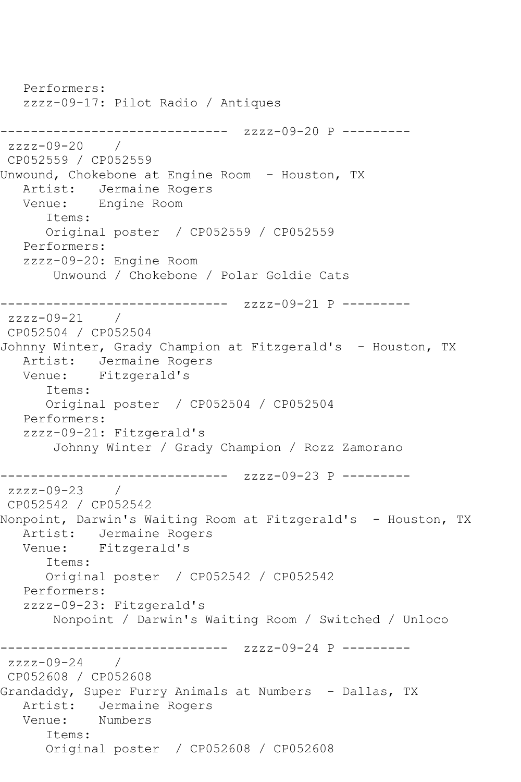Performers: zzzz-09-17: Pilot Radio / Antiques ------------------------------ zzzz-09-20 P --------  $zzzz-09-20$  / CP052559 / CP052559 Unwound, Chokebone at Engine Room - Houston, TX Artist: Jermaine Rogers Venue: Engine Room Items: Original poster / CP052559 / CP052559 Performers: zzzz-09-20: Engine Room Unwound / Chokebone / Polar Goldie Cats ------------------------------ zzzz-09-21 P -------- zzzz-09-21 / CP052504 / CP052504 Johnny Winter, Grady Champion at Fitzgerald's - Houston, TX Artist: Jermaine Rogers Venue: Fitzgerald's Items: Original poster / CP052504 / CP052504 Performers: zzzz-09-21: Fitzgerald's Johnny Winter / Grady Champion / Rozz Zamorano ------------------------------ zzzz-09-23 P -------- zzzz-09-23 / CP052542 / CP052542 Nonpoint, Darwin's Waiting Room at Fitzgerald's - Houston, TX Artist: Jermaine Rogers Venue: Fitzgerald's Items: Original poster / CP052542 / CP052542 Performers: zzzz-09-23: Fitzgerald's Nonpoint / Darwin's Waiting Room / Switched / Unloco ------------------------------ zzzz-09-24 P --------  $zzzz-09-24$  / CP052608 / CP052608 Grandaddy, Super Furry Animals at Numbers - Dallas, TX Artist: Jermaine Rogers Venue: Numbers Items: Original poster / CP052608 / CP052608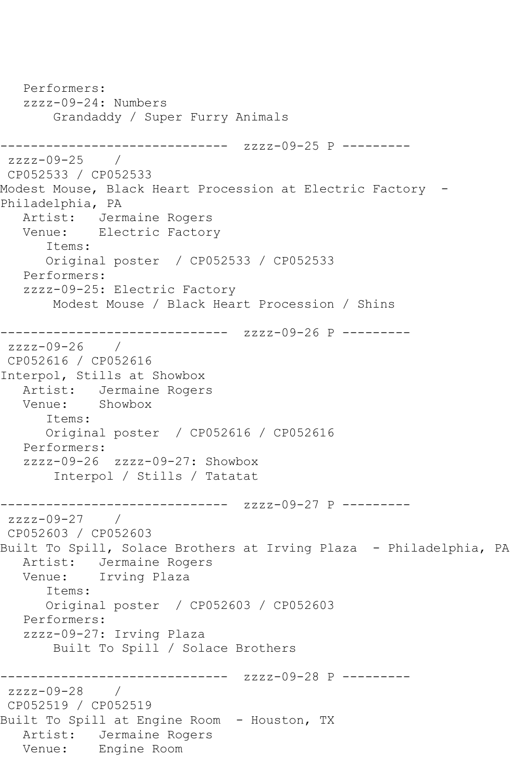```
 Performers:
   zzzz-09-24: Numbers
       Grandaddy / Super Furry Animals
------------------------------ zzzz-09-25 P ---------
zzzz-09-25 / 
CP052533 / CP052533
Modest Mouse, Black Heart Procession at Electric Factory -
Philadelphia, PA
  Artist: Jermaine Rogers<br>Venue: Electric Factor
          Electric Factory
      Items:
      Original poster / CP052533 / CP052533
   Performers:
   zzzz-09-25: Electric Factory
       Modest Mouse / Black Heart Procession / Shins
------------------------------ zzzz-09-26 P ---------
zzzz-09-26 / 
CP052616 / CP052616
Interpol, Stills at Showbox
   Artist: Jermaine Rogers
   Venue: Showbox
      Items:
      Original poster / CP052616 / CP052616
   Performers:
   zzzz-09-26 zzzz-09-27: Showbox
        Interpol / Stills / Tatatat
------------------------------ zzzz-09-27 P ---------
zzzz-09-27 / 
CP052603 / CP052603
Built To Spill, Solace Brothers at Irving Plaza - Philadelphia, PA
   Artist: Jermaine Rogers
   Venue: Irving Plaza
      Items:
      Original poster / CP052603 / CP052603
   Performers:
   zzzz-09-27: Irving Plaza
       Built To Spill / Solace Brothers
------------------------------ zzzz-09-28 P ---------
zzzz-09-28 / 
CP052519 / CP052519
Built To Spill at Engine Room - Houston, TX
   Artist: Jermaine Rogers
   Venue: Engine Room
```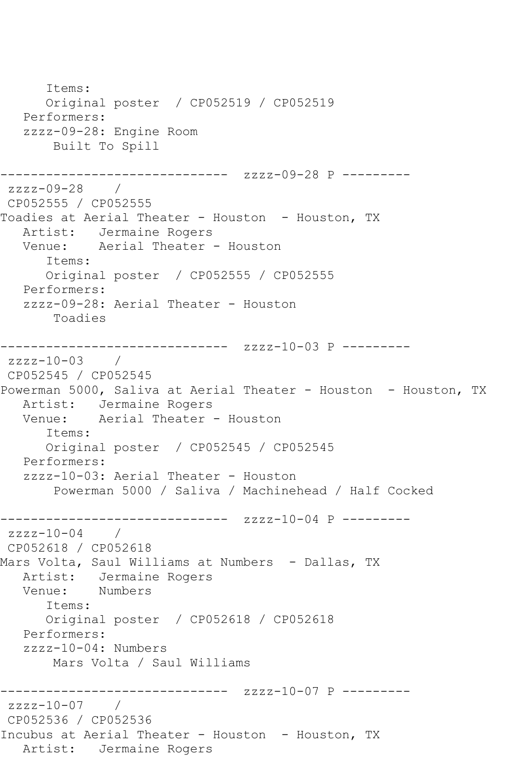Items: Original poster / CP052519 / CP052519 Performers: zzzz-09-28: Engine Room Built To Spill ------------------------------ zzzz-09-28 P -------- zzzz-09-28 / CP052555 / CP052555 Toadies at Aerial Theater - Houston - Houston, TX Artist: Jermaine Rogers Venue: Aerial Theater - Houston Items: Original poster / CP052555 / CP052555 Performers: zzzz-09-28: Aerial Theater - Houston Toadies ------------------------------ zzzz-10-03 P -------- zzzz-10-03 / CP052545 / CP052545 Powerman 5000, Saliva at Aerial Theater - Houston - Houston, TX Artist: Jermaine Rogers<br>Venue: Aerial Theater Aerial Theater - Houston Items: Original poster / CP052545 / CP052545 Performers: zzzz-10-03: Aerial Theater - Houston Powerman 5000 / Saliva / Machinehead / Half Cocked ------------------------------ zzzz-10-04 P -------- zzzz-10-04 / CP052618 / CP052618 Mars Volta, Saul Williams at Numbers - Dallas, TX Artist: Jermaine Rogers Venue: Numbers Items: Original poster / CP052618 / CP052618 Performers: zzzz-10-04: Numbers Mars Volta / Saul Williams ------------------------------ zzzz-10-07 P -------- zzzz-10-07 / CP052536 / CP052536 Incubus at Aerial Theater - Houston - Houston, TX Artist: Jermaine Rogers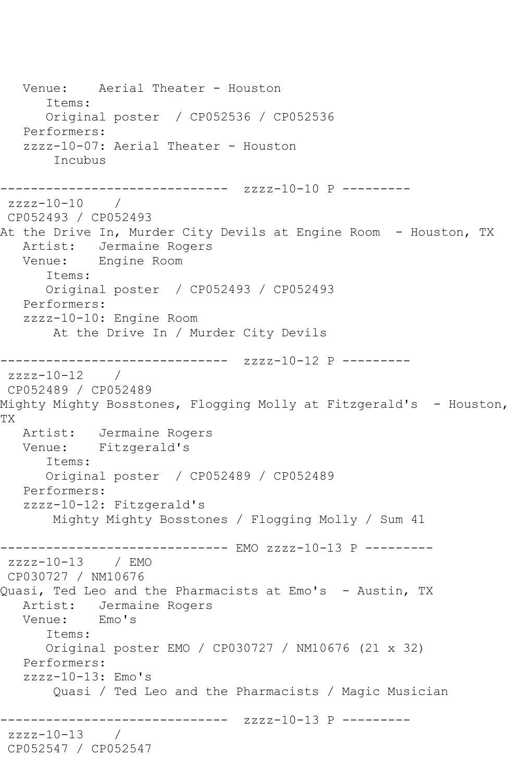```
 Venue: Aerial Theater - Houston
       Items:
       Original poster / CP052536 / CP052536
   Performers:
   zzzz-10-07: Aerial Theater - Houston
        Incubus
------------------------------ zzzz-10-10 P ---------
zzzz-10-10 / 
CP052493 / CP052493
At the Drive In, Murder City Devils at Engine Room - Houston, TX
   Artist: Jermaine Rogers
   Venue: Engine Room
       Items:
      Original poster / CP052493 / CP052493
   Performers:
   zzzz-10-10: Engine Room
        At the Drive In / Murder City Devils
------------------------------ zzzz-10-12 P ---------
zzzz-10-12CP052489 / CP052489
Mighty Mighty Bosstones, Flogging Molly at Fitzgerald's - Houston, 
TX
  Artist: Jermaine Rogers<br>Venue: Fitzgerald's
            Fitzgerald's
       Items:
      Original poster / CP052489 / CP052489
   Performers:
   zzzz-10-12: Fitzgerald's
       Mighty Mighty Bosstones / Flogging Molly / Sum 41
------------------------------ EMO zzzz-10-13 P ---------
zzzz-10-13 / EMO
CP030727 / NM10676
Quasi, Ted Leo and the Pharmacists at Emo's - Austin, TX
   Artist: Jermaine Rogers
   Venue: Emo's
      Items:
       Original poster EMO / CP030727 / NM10676 (21 x 32)
   Performers:
   zzzz-10-13: Emo's
        Quasi / Ted Leo and the Pharmacists / Magic Musician
                ------------------------------ zzzz-10-13 P ---------
zzzz-10-13 / 
CP052547 / CP052547
```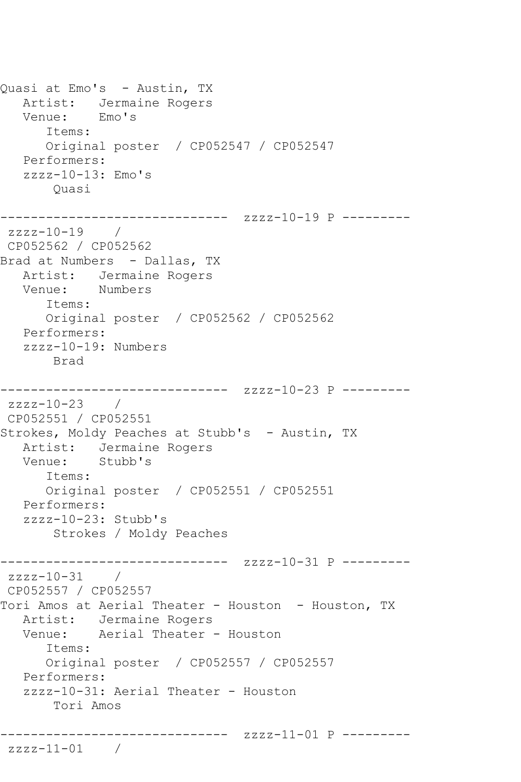Quasi at Emo's - Austin, TX Artist: Jermaine Rogers Venue: Emo's Items: Original poster / CP052547 / CP052547 Performers: zzzz-10-13: Emo's Quasi ------------------------------ zzzz-10-19 P -------- zzzz-10-19 / CP052562 / CP052562 Brad at Numbers - Dallas, TX Artist: Jermaine Rogers Venue: Numbers Items: Original poster / CP052562 / CP052562 Performers: zzzz-10-19: Numbers Brad ------------------------------ zzzz-10-23 P -------- zzzz-10-23 / CP052551 / CP052551 Strokes, Moldy Peaches at Stubb's - Austin, TX Artist: Jermaine Rogers Venue: Stubb's Items: Original poster / CP052551 / CP052551 Performers: zzzz-10-23: Stubb's Strokes / Moldy Peaches ------------------------------ zzzz-10-31 P -------- zzzz-10-31 / CP052557 / CP052557 Tori Amos at Aerial Theater - Houston - Houston, TX Artist: Jermaine Rogers Venue: Aerial Theater - Houston Items: Original poster / CP052557 / CP052557 Performers: zzzz-10-31: Aerial Theater - Houston Tori Amos ------------------------------ zzzz-11-01 P -------- zzzz-11-01 /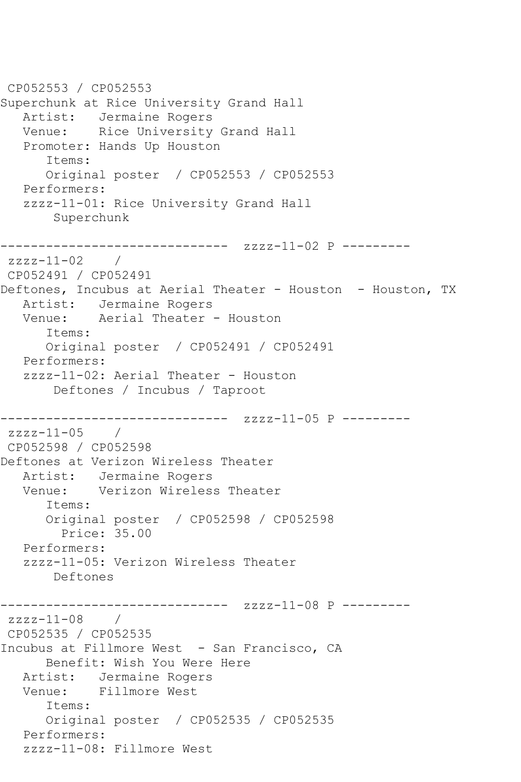CP052553 / CP052553 Superchunk at Rice University Grand Hall Artist: Jermaine Rogers Venue: Rice University Grand Hall Promoter: Hands Up Houston Items: Original poster / CP052553 / CP052553 Performers: zzzz-11-01: Rice University Grand Hall Superchunk ------------------------------ zzzz-11-02 P --------  $zzzz-11-02$  / CP052491 / CP052491 Deftones, Incubus at Aerial Theater - Houston - Houston, TX Artist: Jermaine Rogers Venue: Aerial Theater - Houston Items: Original poster / CP052491 / CP052491 Performers: zzzz-11-02: Aerial Theater - Houston Deftones / Incubus / Taproot ------------------------------ zzzz-11-05 P -------- zzzz-11-05 / CP052598 / CP052598 Deftones at Verizon Wireless Theater Artist: Jermaine Rogers Venue: Verizon Wireless Theater Items: Original poster / CP052598 / CP052598 Price: 35.00 Performers: zzzz-11-05: Verizon Wireless Theater Deftones ------------------------------ zzzz-11-08 P -------- zzzz-11-08 / CP052535 / CP052535 Incubus at Fillmore West - San Francisco, CA Benefit: Wish You Were Here Artist: Jermaine Rogers Venue: Fillmore West Items: Original poster / CP052535 / CP052535 Performers: zzzz-11-08: Fillmore West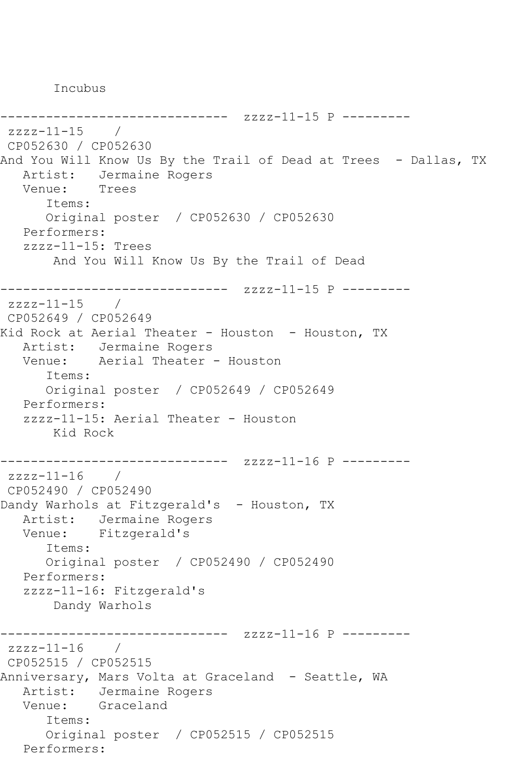Incubus

```
------------------------------ zzzz-11-15 P ---------
zzzz-11-15 / 
CP052630 / CP052630
And You Will Know Us By the Trail of Dead at Trees - Dallas, TX
  Artist: Jermaine Rogers<br>Venue: Trees
  Venue:
      Items:
      Original poster / CP052630 / CP052630
   Performers:
   zzzz-11-15: Trees
       And You Will Know Us By the Trail of Dead
------------------------------ zzzz-11-15 P ---------
zzzz-11-15 /
CP052649 / CP052649
Kid Rock at Aerial Theater - Houston - Houston, TX
   Artist: Jermaine Rogers
   Venue: Aerial Theater - Houston
      Items:
      Original poster / CP052649 / CP052649
   Performers:
   zzzz-11-15: Aerial Theater - Houston
       Kid Rock
------------------------------ zzzz-11-16 P ---------
zzzz-11-16 / 
CP052490 / CP052490
Dandy Warhols at Fitzgerald's - Houston, TX
   Artist: Jermaine Rogers
   Venue: Fitzgerald's
      Items:
      Original poster / CP052490 / CP052490
   Performers:
   zzzz-11-16: Fitzgerald's
       Dandy Warhols
------------------------------ zzzz-11-16 P ---------
zzzz-11-16 /
CP052515 / CP052515
Anniversary, Mars Volta at Graceland - Seattle, WA
 Artist: Jermaine Rogers
 Venue: Graceland
      Items:
      Original poster / CP052515 / CP052515
   Performers:
```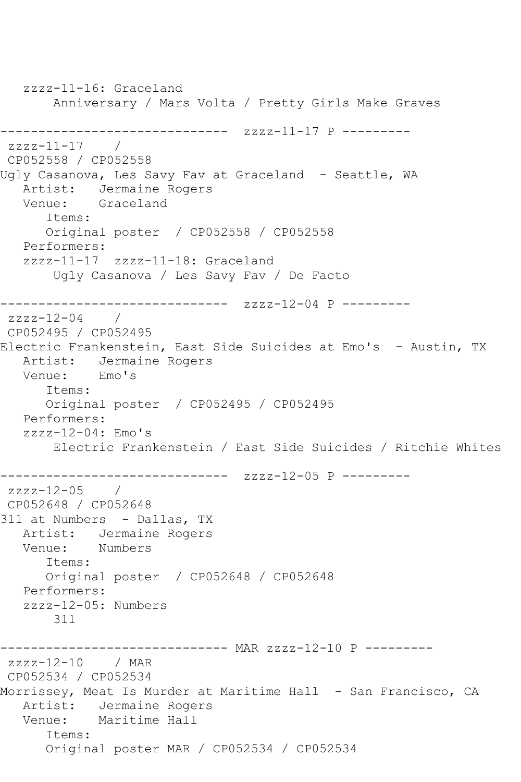zzzz-11-16: Graceland Anniversary / Mars Volta / Pretty Girls Make Graves ------------------------------ zzzz-11-17 P --------  $zzzz-11-17$ CP052558 / CP052558 Ugly Casanova, Les Savy Fav at Graceland - Seattle, WA Artist: Jermaine Rogers Venue: Graceland Items: Original poster / CP052558 / CP052558 Performers: zzzz-11-17 zzzz-11-18: Graceland Ugly Casanova / Les Savy Fav / De Facto -------------- zzzz-12-04 P -------- $zzzz-12-04$  / CP052495 / CP052495 Electric Frankenstein, East Side Suicides at Emo's - Austin, TX Artist: Jermaine Rogers<br>Venue: Emo's Venue: Items: Original poster / CP052495 / CP052495 Performers:  $zzzz-12-04$ : Emo's Electric Frankenstein / East Side Suicides / Ritchie Whites ------------------------------ zzzz-12-05 P --------  $zzzz-12-05$ CP052648 / CP052648 311 at Numbers - Dallas, TX Artist: Jermaine Rogers Venue: Numbers Items: Original poster / CP052648 / CP052648 Performers: zzzz-12-05: Numbers 311 ------------------------------ MAR zzzz-12-10 P -------- zzzz-12-10 / MAR CP052534 / CP052534 Morrissey, Meat Is Murder at Maritime Hall - San Francisco, CA Artist: Jermaine Rogers Venue: Maritime Hall Items: Original poster MAR / CP052534 / CP052534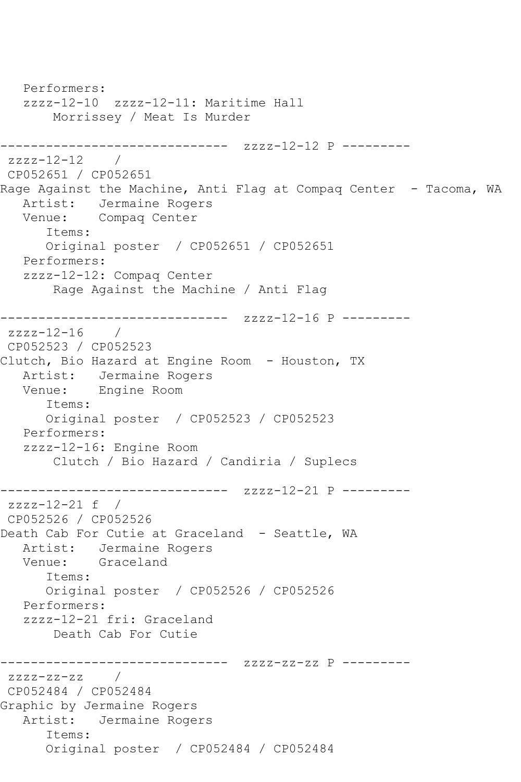Performers: zzzz-12-10 zzzz-12-11: Maritime Hall Morrissey / Meat Is Murder ------------------------------ zzzz-12-12 P -------- zzzz-12-12 / CP052651 / CP052651 Rage Against the Machine, Anti Flag at Compaq Center - Tacoma, WA Artist: Jermaine Rogers Venue: Compaq Center Items: Original poster / CP052651 / CP052651 Performers: zzzz-12-12: Compaq Center Rage Against the Machine / Anti Flag ------------------------------ zzzz-12-16 P --------  $zzzz-12-16$ CP052523 / CP052523 Clutch, Bio Hazard at Engine Room - Houston, TX Artist: Jermaine Rogers Venue: Engine Room Items: Original poster / CP052523 / CP052523 Performers: zzzz-12-16: Engine Room Clutch / Bio Hazard / Candiria / Suplecs ------------------------------ zzzz-12-21 P -------- zzzz-12-21 f / CP052526 / CP052526 Death Cab For Cutie at Graceland - Seattle, WA Artist: Jermaine Rogers<br>Venue: Graceland Graceland Items: Original poster / CP052526 / CP052526 Performers: zzzz-12-21 fri: Graceland Death Cab For Cutie ------------------------------ zzzz-zz-zz P --------  $zzzz-zz-zz$  / CP052484 / CP052484 Graphic by Jermaine Rogers Artist: Jermaine Rogers Items: Original poster / CP052484 / CP052484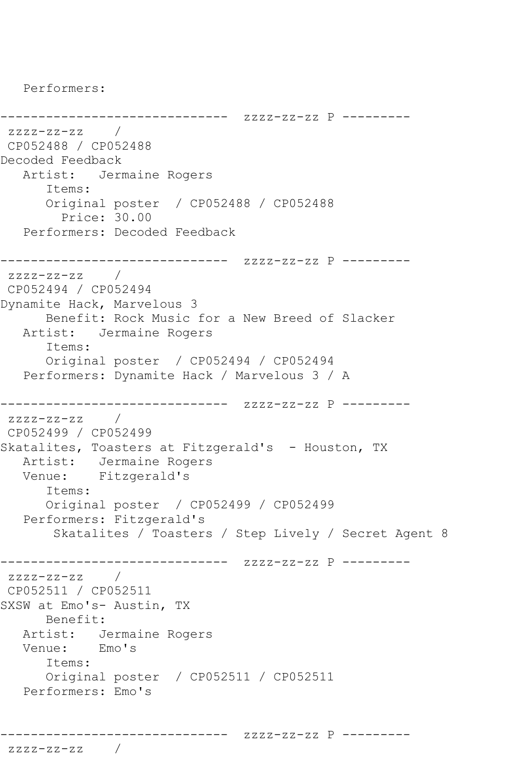Performers:

------------------------------ zzzz-zz-zz P -------- zzzz-zz-zz / CP052488 / CP052488 Decoded Feedback Artist: Jermaine Rogers Items: Original poster / CP052488 / CP052488 Price: 30.00 Performers: Decoded Feedback ------------------------------ zzzz-zz-zz P -------- zzzz-zz-zz / CP052494 / CP052494 Dynamite Hack, Marvelous 3 Benefit: Rock Music for a New Breed of Slacker Artist: Jermaine Rogers Items: Original poster / CP052494 / CP052494 Performers: Dynamite Hack / Marvelous 3 / A ------------------------------ zzzz-zz-zz P --------  $zzzz-zz-zz$  / CP052499 / CP052499 Skatalites, Toasters at Fitzgerald's - Houston, TX Artist: Jermaine Rogers Venue: Fitzgerald's Items: Original poster / CP052499 / CP052499 Performers: Fitzgerald's Skatalites / Toasters / Step Lively / Secret Agent 8 ------------------------------ zzzz-zz-zz P -------- zzzz-zz-zz / CP052511 / CP052511 SXSW at Emo's- Austin, TX Benefit: Artist: Jermaine Rogers Venue: Emo's Items: Original poster / CP052511 / CP052511 Performers: Emo's

------------------------------ zzzz-zz-zz P ---------

zzzz-zz-zz /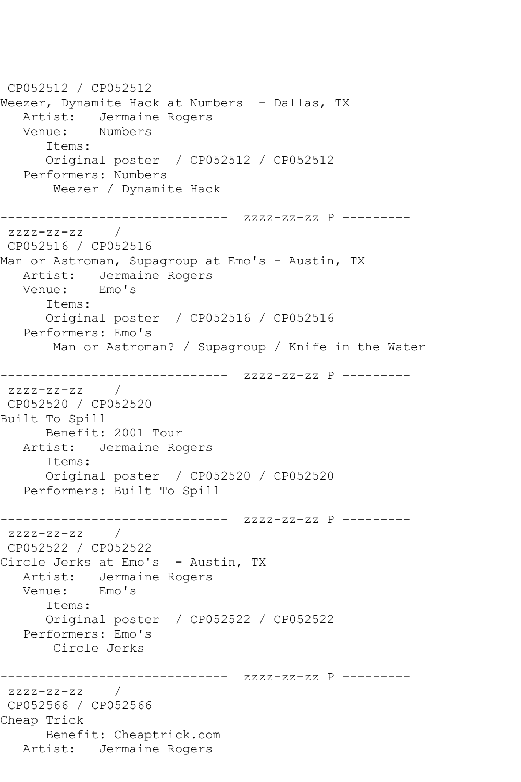CP052512 / CP052512 Weezer, Dynamite Hack at Numbers - Dallas, TX Artist: Jermaine Rogers<br>Venue: Numbers Venue: Items: Original poster / CP052512 / CP052512 Performers: Numbers Weezer / Dynamite Hack ------------------------------ zzzz-zz-zz P -------- zzzz-zz-zz / CP052516 / CP052516 Man or Astroman, Supagroup at Emo's - Austin, TX Artist: Jermaine Rogers<br>Venue: Emo's Venue: Items: Original poster / CP052516 / CP052516 Performers: Emo's Man or Astroman? / Supagroup / Knife in the Water ------------------------------ zzzz-zz-zz P -------- zzzz-zz-zz / CP052520 / CP052520 Built To Spill Benefit: 2001 Tour Artist: Jermaine Rogers Items: Original poster / CP052520 / CP052520 Performers: Built To Spill ------------------------------ zzzz-zz-zz P -------- zzzz-zz-zz / CP052522 / CP052522 Circle Jerks at Emo's - Austin, TX Artist: Jermaine Rogers Venue: Emo's Items: Original poster / CP052522 / CP052522 Performers: Emo's Circle Jerks ------------------------------ zzzz-zz-zz P -------- zzzz-zz-zz / CP052566 / CP052566 Cheap Trick Benefit: Cheaptrick.com Artist: Jermaine Rogers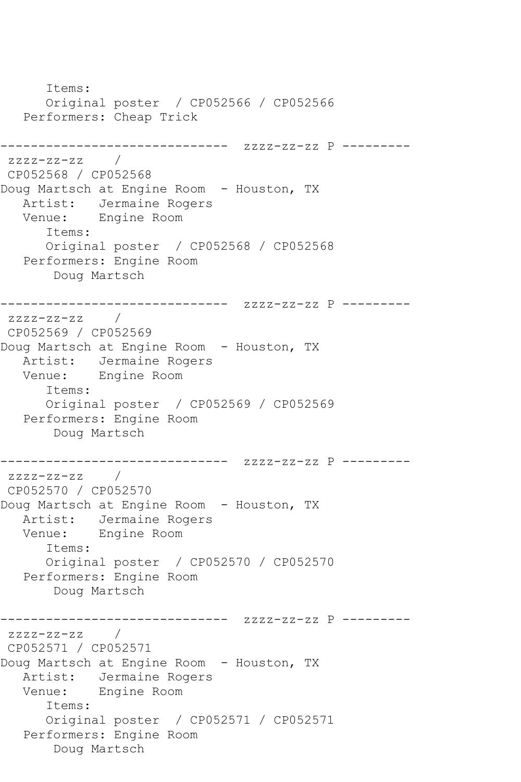Items: Original poster / CP052566 / CP052566 Performers: Cheap Trick ------------------------------ zzzz-zz-zz P -------- zzzz-zz-zz / CP052568 / CP052568 Doug Martsch at Engine Room - Houston, TX Artist: Jermaine Rogers Venue: Engine Room Items: Original poster / CP052568 / CP052568 Performers: Engine Room Doug Martsch ------------------------------ zzzz-zz-zz P --------  $zzzz-zz-zz$  / CP052569 / CP052569 Doug Martsch at Engine Room - Houston, TX Artist: Jermaine Rogers Venue: Engine Room Items: Original poster / CP052569 / CP052569 Performers: Engine Room Doug Martsch ------------------------------ zzzz-zz-zz P --------  $zzzz-zz-zz$  / CP052570 / CP052570 Doug Martsch at Engine Room - Houston, TX Artist: Jermaine Rogers Venue: Engine Room Items: Original poster / CP052570 / CP052570 Performers: Engine Room Doug Martsch ------------------------------ zzzz-zz-zz P --------  $zzzz-zz-zz$  / CP052571 / CP052571 Doug Martsch at Engine Room - Houston, TX Artist: Jermaine Rogers Venue: Engine Room Items: Original poster / CP052571 / CP052571 Performers: Engine Room Doug Martsch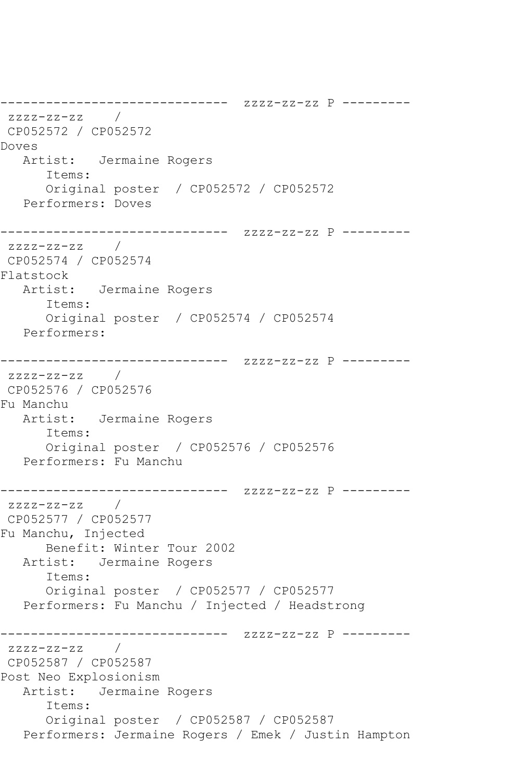------------------------------ zzzz-zz-zz P -------- zzzz-zz-zz / CP052572 / CP052572 Doves Artist: Jermaine Rogers Items: Original poster / CP052572 / CP052572 Performers: Doves ------------------------------ zzzz-zz-zz P -------- zzzz-zz-zz / CP052574 / CP052574 Flatstock Artist: Jermaine Rogers Items: Original poster / CP052574 / CP052574 Performers: ------------------------------ zzzz-zz-zz P --------  $zzzz-zz-zz$  / CP052576 / CP052576 Fu Manchu Artist: Jermaine Rogers Items: Original poster / CP052576 / CP052576 Performers: Fu Manchu ------------------------------ zzzz-zz-zz P -------- zzzz-zz-zz / CP052577 / CP052577 Fu Manchu, Injected Benefit: Winter Tour 2002 Artist: Jermaine Rogers Items: Original poster / CP052577 / CP052577 Performers: Fu Manchu / Injected / Headstrong ------------------------------ zzzz-zz-zz P --------  $zzzz-zz-zz$  / CP052587 / CP052587 Post Neo Explosionism Artist: Jermaine Rogers Items: Original poster / CP052587 / CP052587 Performers: Jermaine Rogers / Emek / Justin Hampton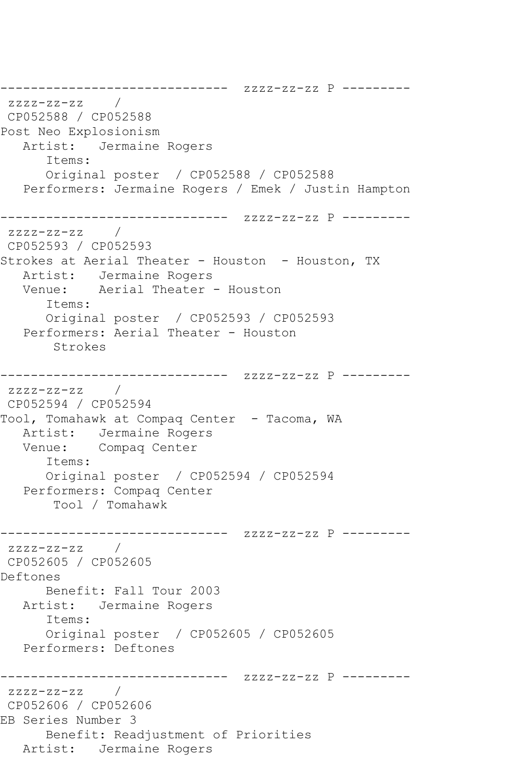------------------------------ zzzz-zz-zz P ---------  $ZZZ-ZZ-ZZ$ CP052588 / CP052588 Post Neo Explosionism Artist: Jermaine Rogers Items: Original poster / CP052588 / CP052588 Performers: Jermaine Rogers / Emek / Justin Hampton ------------------------------ zzzz-zz-zz P --------  $zzzz-zz-zz$  / CP052593 / CP052593 Strokes at Aerial Theater - Houston - Houston, TX Artist: Jermaine Rogers Venue: Aerial Theater - Houston Items: Original poster / CP052593 / CP052593 Performers: Aerial Theater - Houston Strokes ------------------------------ zzzz-zz-zz P -------- zzzz-zz-zz / CP052594 / CP052594 Tool, Tomahawk at Compaq Center - Tacoma, WA Artist: Jermaine Rogers Venue: Compaq Center Items: Original poster / CP052594 / CP052594 Performers: Compaq Center Tool / Tomahawk ------------------------------ zzzz-zz-zz P --------  $zzzz-zz-zz$  / CP052605 / CP052605 Deftones Benefit: Fall Tour 2003 Artist: Jermaine Rogers Items: Original poster / CP052605 / CP052605 Performers: Deftones ------------------------------ zzzz-zz-zz P --------  $zzzz-zz-zz$  / CP052606 / CP052606 EB Series Number 3 Benefit: Readjustment of Priorities Artist: Jermaine Rogers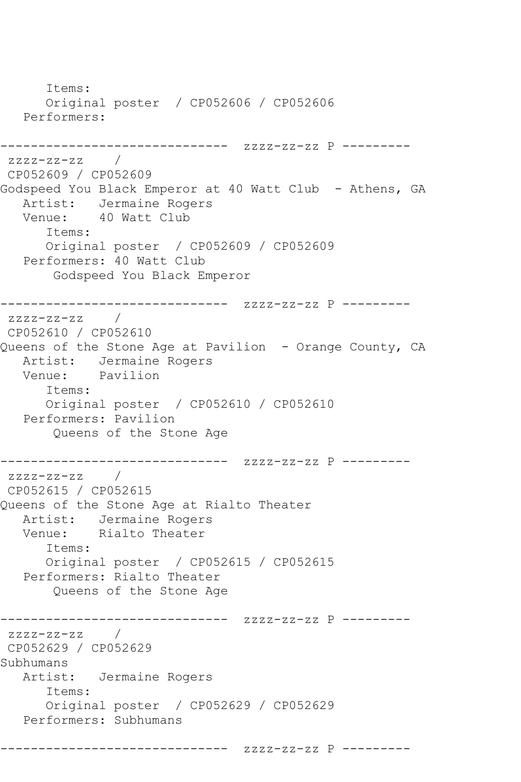Items: Original poster / CP052606 / CP052606 Performers: ------------------------------ zzzz-zz-zz P -------- zzzz-zz-zz / CP052609 / CP052609 Godspeed You Black Emperor at 40 Watt Club - Athens, GA Artist: Jermaine Rogers Venue: 40 Watt Club Items: Original poster / CP052609 / CP052609 Performers: 40 Watt Club Godspeed You Black Emperor ------------------------------ zzzz-zz-zz P -------- zzzz-zz-zz / CP052610 / CP052610 Queens of the Stone Age at Pavilion - Orange County, CA Artist: Jermaine Rogers<br>Venue: Pavilion Pavilion Items: Original poster / CP052610 / CP052610 Performers: Pavilion Queens of the Stone Age ------------------------------ zzzz-zz-zz P --------  $zzzz-zz-zz$  / CP052615 / CP052615 Queens of the Stone Age at Rialto Theater Artist: Jermaine Rogers Venue: Rialto Theater Items: Original poster / CP052615 / CP052615 Performers: Rialto Theater Queens of the Stone Age ------------------------------ zzzz-zz-zz P --------  $zzzz-zz-zz$  / CP052629 / CP052629 Subhumans Artist: Jermaine Rogers Items: Original poster / CP052629 / CP052629 Performers: Subhumans

------------------------------ zzzz-zz-zz P ---------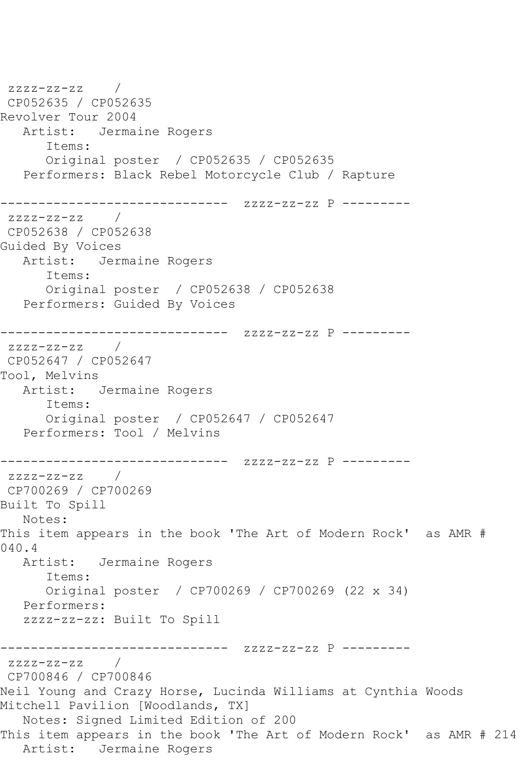zzzz-zz-zz / CP052635 / CP052635 Revolver Tour 2004 Artist: Jermaine Rogers Items: Original poster / CP052635 / CP052635 Performers: Black Rebel Motorcycle Club / Rapture ------------------------------ zzzz-zz-zz P --------  $zzzz-zz-zz$  / CP052638 / CP052638 Guided By Voices Artist: Jermaine Rogers Items: Original poster / CP052638 / CP052638 Performers: Guided By Voices ------------------------------ zzzz-zz-zz P -------- zzzz-zz-zz / CP052647 / CP052647 Tool, Melvins Artist: Jermaine Rogers Items: Original poster / CP052647 / CP052647 Performers: Tool / Melvins ------------------------------ zzzz-zz-zz P -------- zzzz-zz-zz / CP700269 / CP700269 Built To Spill Notes: This item appears in the book 'The Art of Modern Rock' as AMR # 040.4 Artist: Jermaine Rogers Items: Original poster / CP700269 / CP700269 (22 x 34) Performers: zzzz-zz-zz: Built To Spill ------------------------------ zzzz-zz-zz P -------- zzzz-zz-zz / CP700846 / CP700846 Neil Young and Crazy Horse, Lucinda Williams at Cynthia Woods Mitchell Pavilion [Woodlands, TX] Notes: Signed Limited Edition of 200 This item appears in the book 'The Art of Modern Rock' as AMR # 214 Artist: Jermaine Rogers